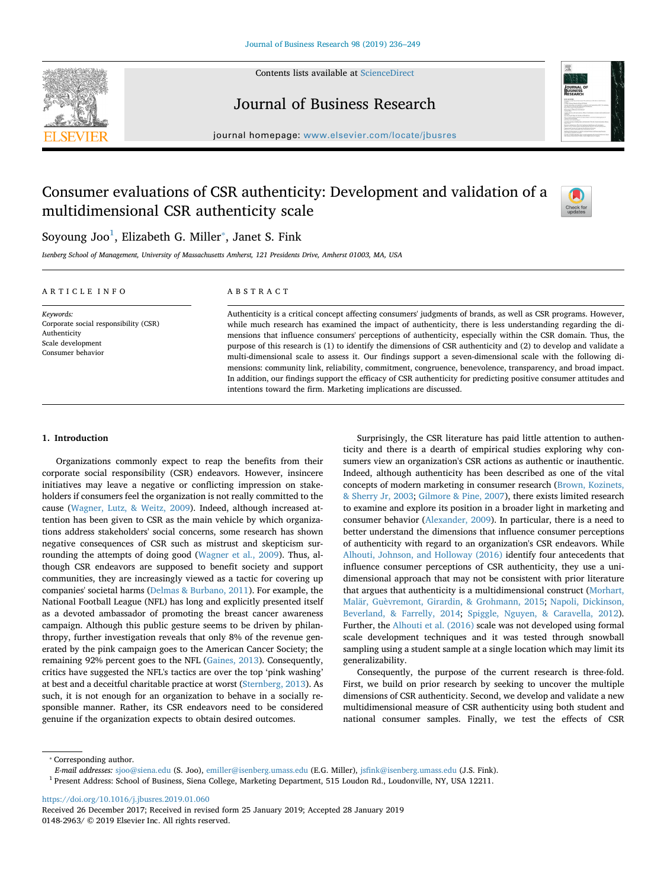

Contents lists available at [ScienceDirect](http://www.sciencedirect.com/science/journal/01482963)

JOURNAL<br>BUSINESS

## Journal of Business Research

journal homepage: [www.elsevier.com/locate/jbusres](https://www.elsevier.com/locate/jbusres)

intentions toward the firm. Marketing implications are discussed.

# Consumer evaluations of CSR authenticity: Development and validation of a multidimensional CSR authenticity scale



## Soyoung Joo $^1$  $^1$ , Elizabeth G. Miller $^\ast$ , Janet S. Fink

*Isenberg School of Management, University of Massachusetts Amherst, 121 Presidents Drive, Amherst 01003, MA, USA*

#### ARTICLE INFO *Keywords:* Corporate social responsibility (CSR) Authenticity Scale development Consumer behavior ABSTRACT Authenticity is a critical concept affecting consumers' judgments of brands, as well as CSR programs. However, while much research has examined the impact of authenticity, there is less understanding regarding the dimensions that influence consumers' perceptions of authenticity, especially within the CSR domain. Thus, the purpose of this research is (1) to identify the dimensions of CSR authenticity and (2) to develop and validate a multi-dimensional scale to assess it. Our findings support a seven-dimensional scale with the following dimensions: community link, reliability, commitment, congruence, benevolence, transparency, and broad impact.

## **1. Introduction**

Organizations commonly expect to reap the benefits from their corporate social responsibility (CSR) endeavors. However, insincere initiatives may leave a negative or conflicting impression on stakeholders if consumers feel the organization is not really committed to the cause [\(Wagner, Lutz, & Weitz, 2009\)](#page-12-0). Indeed, although increased attention has been given to CSR as the main vehicle by which organizations address stakeholders' social concerns, some research has shown negative consequences of CSR such as mistrust and skepticism surrounding the attempts of doing good [\(Wagner et al., 2009](#page-12-0)). Thus, although CSR endeavors are supposed to benefit society and support communities, they are increasingly viewed as a tactic for covering up companies' societal harms [\(Delmas & Burbano, 2011](#page-12-1)). For example, the National Football League (NFL) has long and explicitly presented itself as a devoted ambassador of promoting the breast cancer awareness campaign. Although this public gesture seems to be driven by philanthropy, further investigation reveals that only 8% of the revenue generated by the pink campaign goes to the American Cancer Society; the remaining 92% percent goes to the NFL ([Gaines, 2013](#page-12-2)). Consequently, critics have suggested the NFL's tactics are over the top 'pink washing' at best and a deceitful charitable practice at worst ([Sternberg, 2013\)](#page-12-3). As such, it is not enough for an organization to behave in a socially responsible manner. Rather, its CSR endeavors need to be considered genuine if the organization expects to obtain desired outcomes.

Surprisingly, the CSR literature has paid little attention to authenticity and there is a dearth of empirical studies exploring why consumers view an organization's CSR actions as authentic or inauthentic. Indeed, although authenticity has been described as one of the vital concepts of modern marketing in consumer research ([Brown, Kozinets,](#page-12-4) [& Sherry Jr, 2003](#page-12-4); [Gilmore & Pine, 2007\)](#page-12-5), there exists limited research to examine and explore its position in a broader light in marketing and consumer behavior ([Alexander, 2009\)](#page-11-0). In particular, there is a need to better understand the dimensions that influence consumer perceptions of authenticity with regard to an organization's CSR endeavors. While [Alhouti, Johnson, and Holloway \(2016\)](#page-11-1) identify four antecedents that influence consumer perceptions of CSR authenticity, they use a unidimensional approach that may not be consistent with prior literature that argues that authenticity is a multidimensional construct ([Morhart,](#page-12-6) [Malär, Guèvremont, Girardin, & Grohmann, 2015](#page-12-6); [Napoli, Dickinson,](#page-12-7) [Beverland, & Farrelly, 2014](#page-12-7); [Spiggle, Nguyen, & Caravella, 2012](#page-12-8)). Further, the [Alhouti et al. \(2016\)](#page-11-1) scale was not developed using formal scale development techniques and it was tested through snowball sampling using a student sample at a single location which may limit its generalizability.

In addition, our findings support the efficacy of CSR authenticity for predicting positive consumer attitudes and

Consequently, the purpose of the current research is three-fold. First, we build on prior research by seeking to uncover the multiple dimensions of CSR authenticity. Second, we develop and validate a new multidimensional measure of CSR authenticity using both student and national consumer samples. Finally, we test the effects of CSR

<span id="page-0-1"></span>⁎ Corresponding author.

<https://doi.org/10.1016/j.jbusres.2019.01.060>

Received 26 December 2017; Received in revised form 25 January 2019; Accepted 28 January 2019 0148-2963/ © 2019 Elsevier Inc. All rights reserved.

*E-mail addresses:* [sjoo@siena.edu](mailto:sjoo@siena.edu) (S. Joo), [emiller@isenberg.umass.edu](mailto:emiller@isenberg.umass.edu) (E.G. Miller), [jsfink@isenberg.umass.edu](mailto:jsfink@isenberg.umass.edu) (J.S. Fink).

<span id="page-0-0"></span><sup>1</sup> Present Address: School of Business, Siena College, Marketing Department, 515 Loudon Rd., Loudonville, NY, USA 12211.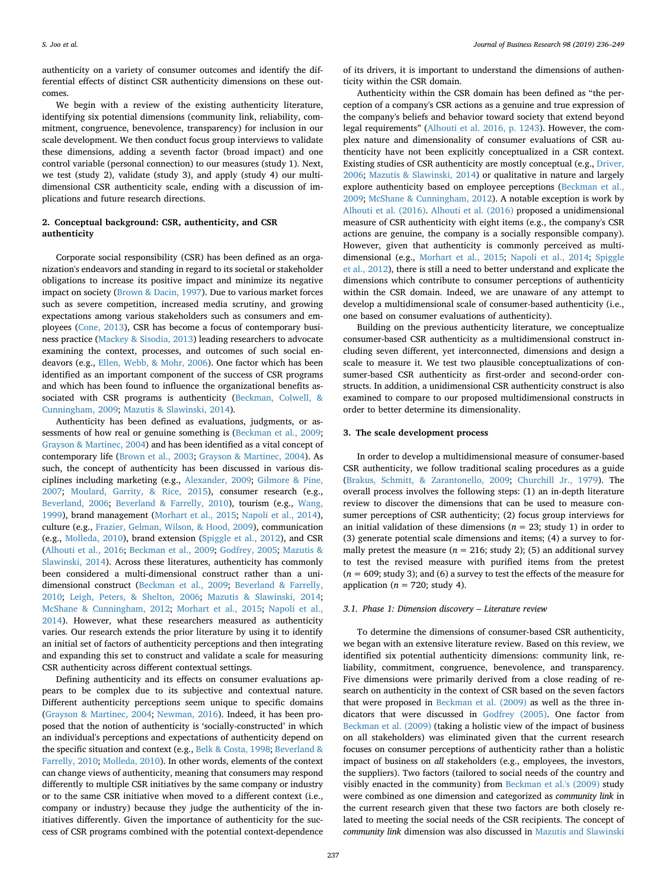authenticity on a variety of consumer outcomes and identify the differential effects of distinct CSR authenticity dimensions on these outcomes.

We begin with a review of the existing authenticity literature, identifying six potential dimensions (community link, reliability, commitment, congruence, benevolence, transparency) for inclusion in our scale development. We then conduct focus group interviews to validate these dimensions, adding a seventh factor (broad impact) and one control variable (personal connection) to our measures (study 1). Next, we test (study 2), validate (study 3), and apply (study 4) our multidimensional CSR authenticity scale, ending with a discussion of implications and future research directions.

## **2. Conceptual background: CSR, authenticity, and CSR authenticity**

Corporate social responsibility (CSR) has been defined as an organization's endeavors and standing in regard to its societal or stakeholder obligations to increase its positive impact and minimize its negative impact on society ([Brown & Dacin, 1997](#page-12-9)). Due to various market forces such as severe competition, increased media scrutiny, and growing expectations among various stakeholders such as consumers and employees ([Cone, 2013\)](#page-12-10), CSR has become a focus of contemporary business practice ([Mackey & Sisodia, 2013\)](#page-12-11) leading researchers to advocate examining the context, processes, and outcomes of such social endeavors (e.g., [Ellen, Webb, & Mohr, 2006\)](#page-12-12). One factor which has been identified as an important component of the success of CSR programs and which has been found to influence the organizational benefits associated with CSR programs is authenticity [\(Beckman, Colwell, &](#page-11-2) [Cunningham, 2009;](#page-11-2) [Mazutis & Slawinski, 2014](#page-12-13)).

Authenticity has been defined as evaluations, judgments, or assessments of how real or genuine something is ([Beckman et al., 2009](#page-11-2); [Grayson & Martinec, 2004](#page-12-14)) and has been identified as a vital concept of contemporary life ([Brown et al., 2003](#page-12-4); [Grayson & Martinec, 2004](#page-12-14)). As such, the concept of authenticity has been discussed in various disciplines including marketing (e.g., [Alexander, 2009;](#page-11-0) [Gilmore & Pine,](#page-12-5) [2007;](#page-12-5) [Moulard, Garrity, & Rice, 2015\)](#page-12-15), consumer research (e.g., [Beverland, 2006](#page-12-16); [Beverland & Farrelly, 2010](#page-12-17)), tourism (e.g., [Wang,](#page-12-18) [1999\)](#page-12-18), brand management [\(Morhart et al., 2015](#page-12-6); [Napoli et al., 2014](#page-12-7)), culture (e.g., [Frazier, Gelman, Wilson, & Hood, 2009](#page-12-19)), communication (e.g., [Molleda, 2010\)](#page-12-20), brand extension ([Spiggle et al., 2012](#page-12-8)), and CSR ([Alhouti et al., 2016;](#page-11-1) [Beckman et al., 2009;](#page-11-2) [Godfrey, 2005;](#page-12-21) [Mazutis &](#page-12-13) [Slawinski, 2014](#page-12-13)). Across these literatures, authenticity has commonly been considered a multi-dimensional construct rather than a unidimensional construct [\(Beckman et al., 2009;](#page-11-2) [Beverland & Farrelly,](#page-12-17) [2010;](#page-12-17) [Leigh, Peters, & Shelton, 2006;](#page-12-22) [Mazutis & Slawinski, 2014](#page-12-13); [McShane & Cunningham, 2012;](#page-12-23) [Morhart et al., 2015;](#page-12-6) [Napoli et al.,](#page-12-7) [2014\)](#page-12-7). However, what these researchers measured as authenticity varies. Our research extends the prior literature by using it to identify an initial set of factors of authenticity perceptions and then integrating and expanding this set to construct and validate a scale for measuring CSR authenticity across different contextual settings.

Defining authenticity and its effects on consumer evaluations appears to be complex due to its subjective and contextual nature. Different authenticity perceptions seem unique to specific domains ([Grayson & Martinec, 2004](#page-12-14); [Newman, 2016\)](#page-12-24). Indeed, it has been proposed that the notion of authenticity is 'socially-constructed' in which an individual's perceptions and expectations of authenticity depend on the specific situation and context (e.g., [Belk & Costa, 1998](#page-11-3); [Beverland &](#page-12-17) [Farrelly, 2010;](#page-12-17) [Molleda, 2010\)](#page-12-20). In other words, elements of the context can change views of authenticity, meaning that consumers may respond differently to multiple CSR initiatives by the same company or industry or to the same CSR initiative when moved to a different context (i.e., company or industry) because they judge the authenticity of the initiatives differently. Given the importance of authenticity for the success of CSR programs combined with the potential context-dependence

of its drivers, it is important to understand the dimensions of authenticity within the CSR domain.

Authenticity within the CSR domain has been defined as "the perception of a company's CSR actions as a genuine and true expression of the company's beliefs and behavior toward society that extend beyond legal requirements" ([Alhouti et al. 2016, p. 1243\)](#page-11-1). However, the complex nature and dimensionality of consumer evaluations of CSR authenticity have not been explicitly conceptualized in a CSR context. Existing studies of CSR authenticity are mostly conceptual (e.g., [Driver,](#page-12-25) [2006;](#page-12-25) [Mazutis & Slawinski, 2014](#page-12-13)) or qualitative in nature and largely explore authenticity based on employee perceptions ([Beckman et al.,](#page-11-2) [2009;](#page-11-2) [McShane & Cunningham, 2012\)](#page-12-23). A notable exception is work by [Alhouti et al. \(2016\)](#page-11-1). [Alhouti et al. \(2016\)](#page-11-1) proposed a unidimensional measure of CSR authenticity with eight items (e.g., the company's CSR actions are genuine, the company is a socially responsible company). However, given that authenticity is commonly perceived as multidimensional (e.g., [Morhart et al., 2015](#page-12-6); [Napoli et al., 2014](#page-12-7); [Spiggle](#page-12-8) [et al., 2012\)](#page-12-8), there is still a need to better understand and explicate the dimensions which contribute to consumer perceptions of authenticity within the CSR domain. Indeed, we are unaware of any attempt to develop a multidimensional scale of consumer-based authenticity (i.e., one based on consumer evaluations of authenticity).

Building on the previous authenticity literature, we conceptualize consumer-based CSR authenticity as a multidimensional construct including seven different, yet interconnected, dimensions and design a scale to measure it. We test two plausible conceptualizations of consumer-based CSR authenticity as first-order and second-order constructs. In addition, a unidimensional CSR authenticity construct is also examined to compare to our proposed multidimensional constructs in order to better determine its dimensionality.

## **3. The scale development process**

In order to develop a multidimensional measure of consumer-based CSR authenticity, we follow traditional scaling procedures as a guide ([Brakus, Schmitt, & Zarantonello, 2009](#page-12-26); [Churchill Jr., 1979](#page-12-27)). The overall process involves the following steps: (1) an in-depth literature review to discover the dimensions that can be used to measure consumer perceptions of CSR authenticity; (2) focus group interviews for an initial validation of these dimensions ( $n = 23$ ; study 1) in order to (3) generate potential scale dimensions and items; (4) a survey to formally pretest the measure ( $n = 216$ ; study 2); (5) an additional survey to test the revised measure with purified items from the pretest (*n* = 609; study 3); and (6) a survey to test the effects of the measure for application ( $n = 720$ ; study 4).

### *3.1. Phase 1: Dimension discovery – Literature review*

To determine the dimensions of consumer-based CSR authenticity, we began with an extensive literature review. Based on this review, we identified six potential authenticity dimensions: community link, reliability, commitment, congruence, benevolence, and transparency. Five dimensions were primarily derived from a close reading of research on authenticity in the context of CSR based on the seven factors that were proposed in [Beckman et al. \(2009\)](#page-11-2) as well as the three indicators that were discussed in [Godfrey \(2005\).](#page-12-21) One factor from [Beckman et al. \(2009\)](#page-11-2) (taking a holistic view of the impact of business on all stakeholders) was eliminated given that the current research focuses on consumer perceptions of authenticity rather than a holistic impact of business on *all* stakeholders (e.g., employees, the investors, the suppliers). Two factors (tailored to social needs of the country and visibly enacted in the community) from [Beckman et al.'s \(2009\)](#page-11-2) study were combined as one dimension and categorized as *community link* in the current research given that these two factors are both closely related to meeting the social needs of the CSR recipients. The concept of *community link* dimension was also discussed in [Mazutis and Slawinski](#page-12-13)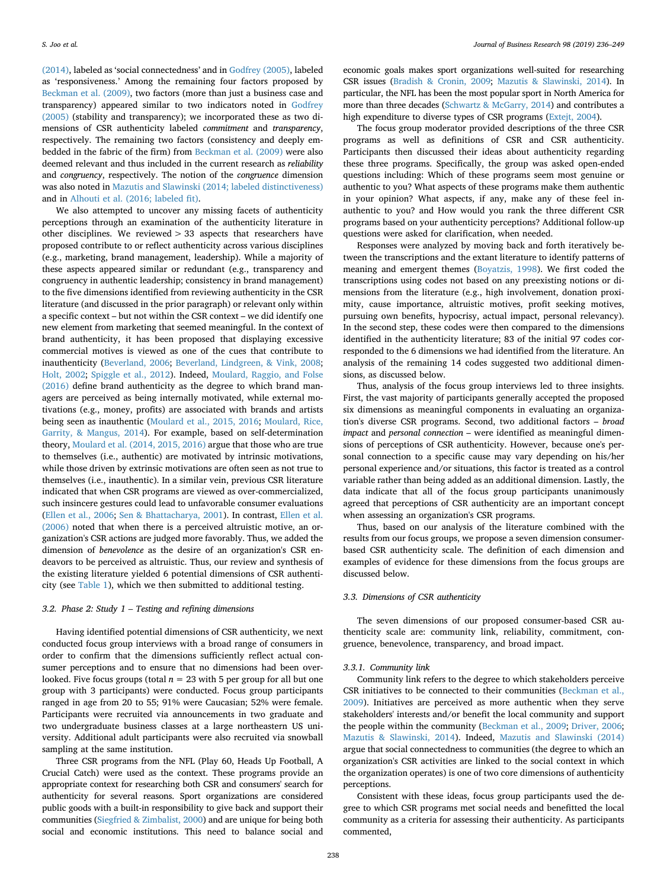[\(2014\),](#page-12-13) labeled as 'social connectedness' and in [Godfrey \(2005\),](#page-12-21) labeled as 'responsiveness.' Among the remaining four factors proposed by [Beckman et al. \(2009\)](#page-11-2), two factors (more than just a business case and transparency) appeared similar to two indicators noted in [Godfrey](#page-12-21) [\(2005\)](#page-12-21) (stability and transparency); we incorporated these as two dimensions of CSR authenticity labeled *commitment* and *transparency*, respectively. The remaining two factors (consistency and deeply embedded in the fabric of the firm) from [Beckman et al. \(2009\)](#page-11-2) were also deemed relevant and thus included in the current research as *reliability* and *congruency*, respectively. The notion of the *congruence* dimension was also noted in [Mazutis and Slawinski \(2014; labeled distinctiveness\)](#page-12-13) and in [Alhouti et al. \(2016; labeled fit\)](#page-11-1).

We also attempted to uncover any missing facets of authenticity perceptions through an examination of the authenticity literature in other disciplines. We reviewed > 33 aspects that researchers have proposed contribute to or reflect authenticity across various disciplines (e.g., marketing, brand management, leadership). While a majority of these aspects appeared similar or redundant (e.g., transparency and congruency in authentic leadership; consistency in brand management) to the five dimensions identified from reviewing authenticity in the CSR literature (and discussed in the prior paragraph) or relevant only within a specific context – but not within the CSR context – we did identify one new element from marketing that seemed meaningful. In the context of brand authenticity, it has been proposed that displaying excessive commercial motives is viewed as one of the cues that contribute to inauthenticity [\(Beverland, 2006;](#page-12-16) [Beverland, Lindgreen, & Vink, 2008](#page-12-28); [Holt, 2002](#page-12-29); [Spiggle et al., 2012\)](#page-12-8). Indeed, [Moulard, Raggio, and Folse](#page-12-30) [\(2016\)](#page-12-30) define brand authenticity as the degree to which brand managers are perceived as being internally motivated, while external motivations (e.g., money, profits) are associated with brands and artists being seen as inauthentic [\(Moulard et al., 2015, 2016](#page-12-15); [Moulard, Rice,](#page-12-31) [Garrity, & Mangus, 2014\)](#page-12-31). For example, based on self-determination theory, [Moulard et al. \(2014, 2015, 2016\)](#page-12-31) argue that those who are true to themselves (i.e., authentic) are motivated by intrinsic motivations, while those driven by extrinsic motivations are often seen as not true to themselves (i.e., inauthentic). In a similar vein, previous CSR literature indicated that when CSR programs are viewed as over-commercialized, such insincere gestures could lead to unfavorable consumer evaluations ([Ellen et al., 2006;](#page-12-12) [Sen & Bhattacharya, 2001\)](#page-12-32). In contrast, [Ellen et al.](#page-12-12) [\(2006\)](#page-12-12) noted that when there is a perceived altruistic motive, an organization's CSR actions are judged more favorably. Thus, we added the dimension of *benevolence* as the desire of an organization's CSR endeavors to be perceived as altruistic. Thus, our review and synthesis of the existing literature yielded 6 potential dimensions of CSR authenticity (see [Table 1\)](#page-3-0), which we then submitted to additional testing.

#### *3.2. Phase 2: Study 1 – Testing and refining dimensions*

Having identified potential dimensions of CSR authenticity, we next conducted focus group interviews with a broad range of consumers in order to confirm that the dimensions sufficiently reflect actual consumer perceptions and to ensure that no dimensions had been overlooked. Five focus groups (total  $n = 23$  with 5 per group for all but one group with 3 participants) were conducted. Focus group participants ranged in age from 20 to 55; 91% were Caucasian; 52% were female. Participants were recruited via announcements in two graduate and two undergraduate business classes at a large northeastern US university. Additional adult participants were also recruited via snowball sampling at the same institution.

Three CSR programs from the NFL (Play 60, Heads Up Football, A Crucial Catch) were used as the context. These programs provide an appropriate context for researching both CSR and consumers' search for authenticity for several reasons. Sport organizations are considered public goods with a built-in responsibility to give back and support their communities [\(Siegfried & Zimbalist, 2000](#page-12-33)) and are unique for being both social and economic institutions. This need to balance social and

economic goals makes sport organizations well-suited for researching CSR issues [\(Bradish & Cronin, 2009](#page-12-34); [Mazutis & Slawinski, 2014\)](#page-12-13). In particular, the NFL has been the most popular sport in North America for more than three decades ([Schwartz & McGarry, 2014\)](#page-12-35) and contributes a high expenditure to diverse types of CSR programs [\(Extejt, 2004\)](#page-12-36).

The focus group moderator provided descriptions of the three CSR programs as well as definitions of CSR and CSR authenticity. Participants then discussed their ideas about authenticity regarding these three programs. Specifically, the group was asked open-ended questions including: Which of these programs seem most genuine or authentic to you? What aspects of these programs make them authentic in your opinion? What aspects, if any, make any of these feel inauthentic to you? and How would you rank the three different CSR programs based on your authenticity perceptions? Additional follow-up questions were asked for clarification, when needed.

Responses were analyzed by moving back and forth iteratively between the transcriptions and the extant literature to identify patterns of meaning and emergent themes [\(Boyatzis, 1998\)](#page-12-37). We first coded the transcriptions using codes not based on any preexisting notions or dimensions from the literature (e.g., high involvement, donation proximity, cause importance, altruistic motives, profit seeking motives, pursuing own benefits, hypocrisy, actual impact, personal relevancy). In the second step, these codes were then compared to the dimensions identified in the authenticity literature; 83 of the initial 97 codes corresponded to the 6 dimensions we had identified from the literature. An analysis of the remaining 14 codes suggested two additional dimensions, as discussed below.

Thus, analysis of the focus group interviews led to three insights. First, the vast majority of participants generally accepted the proposed six dimensions as meaningful components in evaluating an organization's diverse CSR programs. Second, two additional factors – *broad impact* and *personal connection* – were identified as meaningful dimensions of perceptions of CSR authenticity. However, because one's personal connection to a specific cause may vary depending on his/her personal experience and/or situations, this factor is treated as a control variable rather than being added as an additional dimension. Lastly, the data indicate that all of the focus group participants unanimously agreed that perceptions of CSR authenticity are an important concept when assessing an organization's CSR programs.

Thus, based on our analysis of the literature combined with the results from our focus groups, we propose a seven dimension consumerbased CSR authenticity scale. The definition of each dimension and examples of evidence for these dimensions from the focus groups are discussed below.

## *3.3. Dimensions of CSR authenticity*

The seven dimensions of our proposed consumer-based CSR authenticity scale are: community link, reliability, commitment, congruence, benevolence, transparency, and broad impact.

#### *3.3.1. Community link*

Community link refers to the degree to which stakeholders perceive CSR initiatives to be connected to their communities [\(Beckman et al.,](#page-11-2) [2009\)](#page-11-2). Initiatives are perceived as more authentic when they serve stakeholders' interests and/or benefit the local community and support the people within the community ([Beckman et al., 2009;](#page-11-2) [Driver, 2006](#page-12-25); [Mazutis & Slawinski, 2014](#page-12-13)). Indeed, [Mazutis and Slawinski \(2014\)](#page-12-13) argue that social connectedness to communities (the degree to which an organization's CSR activities are linked to the social context in which the organization operates) is one of two core dimensions of authenticity perceptions.

Consistent with these ideas, focus group participants used the degree to which CSR programs met social needs and benefitted the local community as a criteria for assessing their authenticity. As participants commented,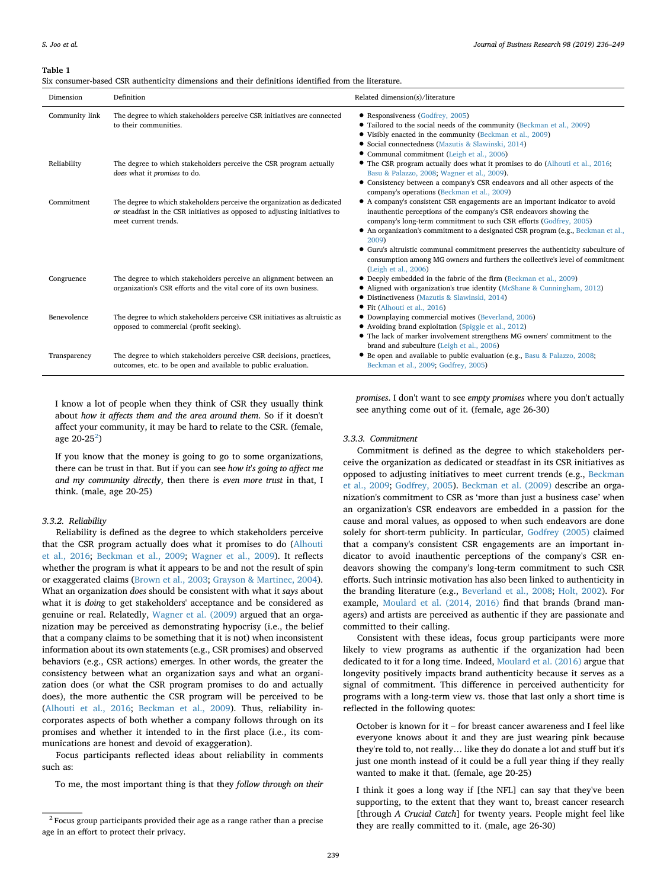<span id="page-3-0"></span>

| Dimension      | Definition                                                                                                                                                                    | Related dimension(s)/literature                                                                                                                                                                                                                                                                                                                                                                                                                                                                                     |
|----------------|-------------------------------------------------------------------------------------------------------------------------------------------------------------------------------|---------------------------------------------------------------------------------------------------------------------------------------------------------------------------------------------------------------------------------------------------------------------------------------------------------------------------------------------------------------------------------------------------------------------------------------------------------------------------------------------------------------------|
| Community link | The degree to which stakeholders perceive CSR initiatives are connected<br>to their communities.                                                                              | • Responsiveness (Godfrey, 2005)<br>• Tailored to the social needs of the community (Beckman et al., 2009)<br>• Visibly enacted in the community (Beckman et al., 2009)<br>• Social connectedness (Mazutis & Slawinski, 2014)<br>• Communal commitment (Leigh et al., 2006)                                                                                                                                                                                                                                         |
| Reliability    | The degree to which stakeholders perceive the CSR program actually<br>does what it promises to do.                                                                            | • The CSR program actually does what it promises to do (Alhouti et al., 2016;<br>Basu & Palazzo, 2008; Wagner et al., 2009).<br>• Consistency between a company's CSR endeavors and all other aspects of the<br>company's operations (Beckman et al., 2009)                                                                                                                                                                                                                                                         |
| Commitment     | The degree to which stakeholders perceive the organization as dedicated<br>or steadfast in the CSR initiatives as opposed to adjusting initiatives to<br>meet current trends. | • A company's consistent CSR engagements are an important indicator to avoid<br>inauthentic perceptions of the company's CSR endeavors showing the<br>company's long-term commitment to such CSR efforts (Godfrey, 2005)<br>• An organization's commitment to a designated CSR program (e.g., Beckman et al.,<br>2009)<br>• Guru's altruistic communal commitment preserves the authenticity subculture of<br>consumption among MG owners and furthers the collective's level of commitment<br>(Leigh et al., 2006) |
| Congruence     | The degree to which stakeholders perceive an alignment between an<br>organization's CSR efforts and the vital core of its own business.                                       | • Deeply embedded in the fabric of the firm (Beckman et al., 2009)<br>• Aligned with organization's true identity (McShane & Cunningham, 2012)<br>· Distinctiveness (Mazutis & Slawinski, 2014)<br>• Fit (Alhouti et al., 2016)                                                                                                                                                                                                                                                                                     |
| Benevolence    | The degree to which stakeholders perceive CSR initiatives as altruistic as<br>opposed to commercial (profit seeking).                                                         | • Downplaying commercial motives (Beverland, 2006)<br>• Avoiding brand exploitation (Spiggle et al., 2012)<br>• The lack of marker involvement strengthens MG owners' commitment to the<br>brand and subculture (Leigh et al., 2006)                                                                                                                                                                                                                                                                                |
| Transparency   | The degree to which stakeholders perceive CSR decisions, practices,<br>outcomes, etc. to be open and available to public evaluation.                                          | • Be open and available to public evaluation (e.g., Basu & Palazzo, 2008;<br>Beckman et al., 2009; Godfrey, 2005)                                                                                                                                                                                                                                                                                                                                                                                                   |

I know a lot of people when they think of CSR they usually think about *how it affects them and the area around them*. So if it doesn't affect your community, it may be hard to relate to the CSR. (female, age  $20-25^2$  $20-25^2$ )

If you know that the money is going to go to some organizations, there can be trust in that. But if you can see *how it*'*s going to affect me and my community directly*, then there is *even more trust* in that, I think. (male, age 20-25)

## *3.3.2. Reliability*

Reliability is defined as the degree to which stakeholders perceive that the CSR program actually does what it promises to do [\(Alhouti](#page-11-1) [et al., 2016;](#page-11-1) [Beckman et al., 2009](#page-11-2); [Wagner et al., 2009](#page-12-0)). It reflects whether the program is what it appears to be and not the result of spin or exaggerated claims [\(Brown et al., 2003;](#page-12-4) [Grayson & Martinec, 2004](#page-12-14)). What an organization *does* should be consistent with what it *says* about what it is *doing* to get stakeholders' acceptance and be considered as genuine or real. Relatedly, [Wagner et al. \(2009\)](#page-12-0) argued that an organization may be perceived as demonstrating hypocrisy (i.e., the belief that a company claims to be something that it is not) when inconsistent information about its own statements (e.g., CSR promises) and observed behaviors (e.g., CSR actions) emerges. In other words, the greater the consistency between what an organization says and what an organization does (or what the CSR program promises to do and actually does), the more authentic the CSR program will be perceived to be ([Alhouti et al., 2016;](#page-11-1) [Beckman et al., 2009\)](#page-11-2). Thus, reliability incorporates aspects of both whether a company follows through on its promises and whether it intended to in the first place (i.e., its communications are honest and devoid of exaggeration).

Focus participants reflected ideas about reliability in comments such as:

To me, the most important thing is that they *follow through on their*

*promises*. I don't want to see *empty promises* where you don't actually see anything come out of it. (female, age 26-30)

## *3.3.3. Commitment*

Commitment is defined as the degree to which stakeholders perceive the organization as dedicated or steadfast in its CSR initiatives as opposed to adjusting initiatives to meet current trends (e.g., [Beckman](#page-11-2) [et al., 2009;](#page-11-2) [Godfrey, 2005\)](#page-12-21). [Beckman et al. \(2009\)](#page-11-2) describe an organization's commitment to CSR as 'more than just a business case' when an organization's CSR endeavors are embedded in a passion for the cause and moral values, as opposed to when such endeavors are done solely for short-term publicity. In particular, [Godfrey \(2005\)](#page-12-21) claimed that a company's consistent CSR engagements are an important indicator to avoid inauthentic perceptions of the company's CSR endeavors showing the company's long-term commitment to such CSR efforts. Such intrinsic motivation has also been linked to authenticity in the branding literature (e.g., [Beverland et al., 2008](#page-12-28); [Holt, 2002](#page-12-29)). For example, [Moulard et al. \(2014, 2016\)](#page-12-31) find that brands (brand managers) and artists are perceived as authentic if they are passionate and committed to their calling.

Consistent with these ideas, focus group participants were more likely to view programs as authentic if the organization had been dedicated to it for a long time. Indeed, [Moulard et al. \(2016\)](#page-12-30) argue that longevity positively impacts brand authenticity because it serves as a signal of commitment. This difference in perceived authenticity for programs with a long-term view vs. those that last only a short time is reflected in the following quotes:

October is known for it – for breast cancer awareness and I feel like everyone knows about it and they are just wearing pink because they're told to, not really… like they do donate a lot and stuff but it's just one month instead of it could be a full year thing if they really wanted to make it that. (female, age 20-25)

I think it goes a long way if [the NFL] can say that they've been supporting, to the extent that they want to, breast cancer research [through *A Crucial Catch*] for twenty years. People might feel like they are really committed to it. (male, age 26-30)

<span id="page-3-1"></span> $2$  Focus group participants provided their age as a range rather than a precise age in an effort to protect their privacy.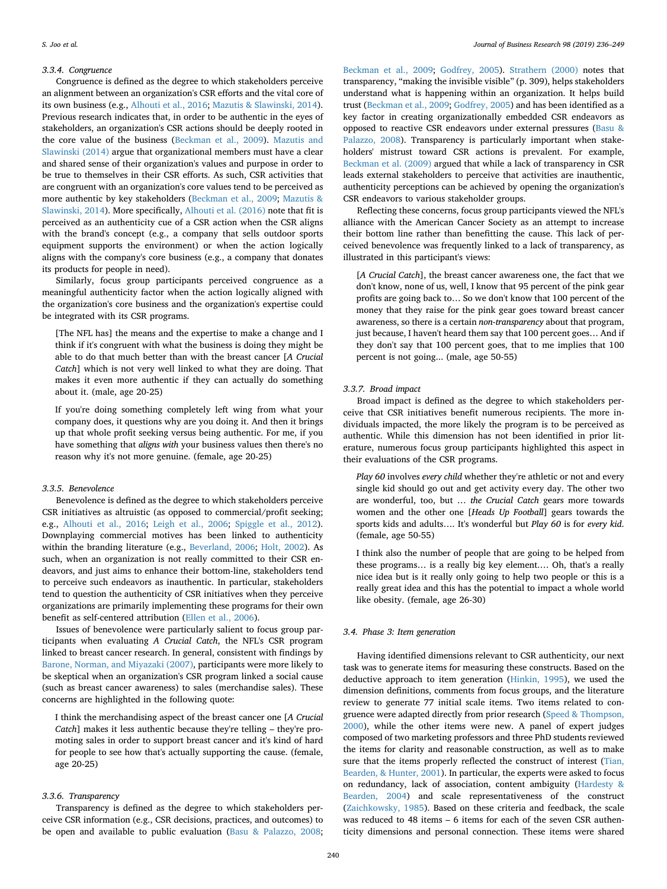#### *3.3.4. Congruence*

Congruence is defined as the degree to which stakeholders perceive an alignment between an organization's CSR efforts and the vital core of its own business (e.g., [Alhouti et al., 2016](#page-11-1); [Mazutis & Slawinski, 2014](#page-12-13)). Previous research indicates that, in order to be authentic in the eyes of stakeholders, an organization's CSR actions should be deeply rooted in the core value of the business [\(Beckman et al., 2009](#page-11-2)). [Mazutis and](#page-12-13) [Slawinski \(2014\)](#page-12-13) argue that organizational members must have a clear and shared sense of their organization's values and purpose in order to be true to themselves in their CSR efforts. As such, CSR activities that are congruent with an organization's core values tend to be perceived as more authentic by key stakeholders [\(Beckman et al., 2009;](#page-11-2) [Mazutis &](#page-12-13) [Slawinski, 2014\)](#page-12-13). More specifically, [Alhouti et al. \(2016\)](#page-11-1) note that fit is perceived as an authenticity cue of a CSR action when the CSR aligns with the brand's concept (e.g., a company that sells outdoor sports equipment supports the environment) or when the action logically aligns with the company's core business (e.g., a company that donates its products for people in need).

Similarly, focus group participants perceived congruence as a meaningful authenticity factor when the action logically aligned with the organization's core business and the organization's expertise could be integrated with its CSR programs.

[The NFL has] the means and the expertise to make a change and I think if it's congruent with what the business is doing they might be able to do that much better than with the breast cancer [*A Crucial Catch*] which is not very well linked to what they are doing. That makes it even more authentic if they can actually do something about it. (male, age 20-25)

If you're doing something completely left wing from what your company does, it questions why are you doing it. And then it brings up that whole profit seeking versus being authentic. For me, if you have something that *aligns with* your business values then there's no reason why it's not more genuine. (female, age 20-25)

## *3.3.5. Benevolence*

Benevolence is defined as the degree to which stakeholders perceive CSR initiatives as altruistic (as opposed to commercial/profit seeking; e.g., [Alhouti et al., 2016](#page-11-1); [Leigh et al., 2006;](#page-12-22) [Spiggle et al., 2012](#page-12-8)). Downplaying commercial motives has been linked to authenticity within the branding literature (e.g., [Beverland, 2006;](#page-12-16) [Holt, 2002\)](#page-12-29). As such, when an organization is not really committed to their CSR endeavors, and just aims to enhance their bottom-line, stakeholders tend to perceive such endeavors as inauthentic. In particular, stakeholders tend to question the authenticity of CSR initiatives when they perceive organizations are primarily implementing these programs for their own benefit as self-centered attribution ([Ellen et al., 2006\)](#page-12-12).

Issues of benevolence were particularly salient to focus group participants when evaluating *A Crucial Catch*, the NFL's CSR program linked to breast cancer research. In general, consistent with findings by [Barone, Norman, and Miyazaki \(2007\),](#page-11-5) participants were more likely to be skeptical when an organization's CSR program linked a social cause (such as breast cancer awareness) to sales (merchandise sales). These concerns are highlighted in the following quote:

I think the merchandising aspect of the breast cancer one [*A Crucial Catch*] makes it less authentic because they're telling – they're promoting sales in order to support breast cancer and it's kind of hard for people to see how that's actually supporting the cause. (female, age 20-25)

## *3.3.6. Transparency*

Transparency is defined as the degree to which stakeholders perceive CSR information (e.g., CSR decisions, practices, and outcomes) to be open and available to public evaluation [\(Basu & Palazzo, 2008](#page-11-4);

[Beckman et al., 2009;](#page-11-2) [Godfrey, 2005\)](#page-12-21). [Strathern \(2000\)](#page-12-38) notes that transparency, "making the invisible visible" (p. 309), helps stakeholders understand what is happening within an organization. It helps build trust ([Beckman et al., 2009](#page-11-2); [Godfrey, 2005\)](#page-12-21) and has been identified as a key factor in creating organizationally embedded CSR endeavors as opposed to reactive CSR endeavors under external pressures [\(Basu &](#page-11-4) [Palazzo, 2008\)](#page-11-4). Transparency is particularly important when stakeholders' mistrust toward CSR actions is prevalent. For example, [Beckman et al. \(2009\)](#page-11-2) argued that while a lack of transparency in CSR leads external stakeholders to perceive that activities are inauthentic, authenticity perceptions can be achieved by opening the organization's CSR endeavors to various stakeholder groups.

Reflecting these concerns, focus group participants viewed the NFL's alliance with the American Cancer Society as an attempt to increase their bottom line rather than benefitting the cause. This lack of perceived benevolence was frequently linked to a lack of transparency, as illustrated in this participant's views:

[*A Crucial Catch*], the breast cancer awareness one, the fact that we don't know, none of us, well, I know that 95 percent of the pink gear profits are going back to… So we don't know that 100 percent of the money that they raise for the pink gear goes toward breast cancer awareness, so there is a certain *non*-*transparency* about that program, just because, I haven't heard them say that 100 percent goes… And if they don't say that 100 percent goes, that to me implies that 100 percent is not going... (male, age 50-55)

### *3.3.7. Broad impact*

Broad impact is defined as the degree to which stakeholders perceive that CSR initiatives benefit numerous recipients. The more individuals impacted, the more likely the program is to be perceived as authentic. While this dimension has not been identified in prior literature, numerous focus group participants highlighted this aspect in their evaluations of the CSR programs.

*Play 60* involves *every child* whether they're athletic or not and every single kid should go out and get activity every day. The other two are wonderful, too, but … *the Crucial Catch* gears more towards women and the other one [*Heads Up Football*] gears towards the sports kids and adults…. It's wonderful but *Play 60* is for *every kid*. (female, age 50-55)

I think also the number of people that are going to be helped from these programs… is a really big key element.… Oh, that's a really nice idea but is it really only going to help two people or this is a really great idea and this has the potential to impact a whole world like obesity. (female, age 26-30)

#### *3.4. Phase 3: Item generation*

Having identified dimensions relevant to CSR authenticity, our next task was to generate items for measuring these constructs. Based on the deductive approach to item generation ([Hinkin, 1995\)](#page-12-39), we used the dimension definitions, comments from focus groups, and the literature review to generate 77 initial scale items. Two items related to congruence were adapted directly from prior research ([Speed & Thompson,](#page-12-40) [2000\)](#page-12-40), while the other items were new. A panel of expert judges composed of two marketing professors and three PhD students reviewed the items for clarity and reasonable construction, as well as to make sure that the items properly reflected the construct of interest ([Tian,](#page-12-41) [Bearden, & Hunter, 2001\)](#page-12-41). In particular, the experts were asked to focus on redundancy, lack of association, content ambiguity [\(Hardesty &](#page-12-42) [Bearden, 2004](#page-12-42)) and scale representativeness of the construct ([Zaichkowsky, 1985\)](#page-12-43). Based on these criteria and feedback, the scale was reduced to 48 items – 6 items for each of the seven CSR authenticity dimensions and personal connection. These items were shared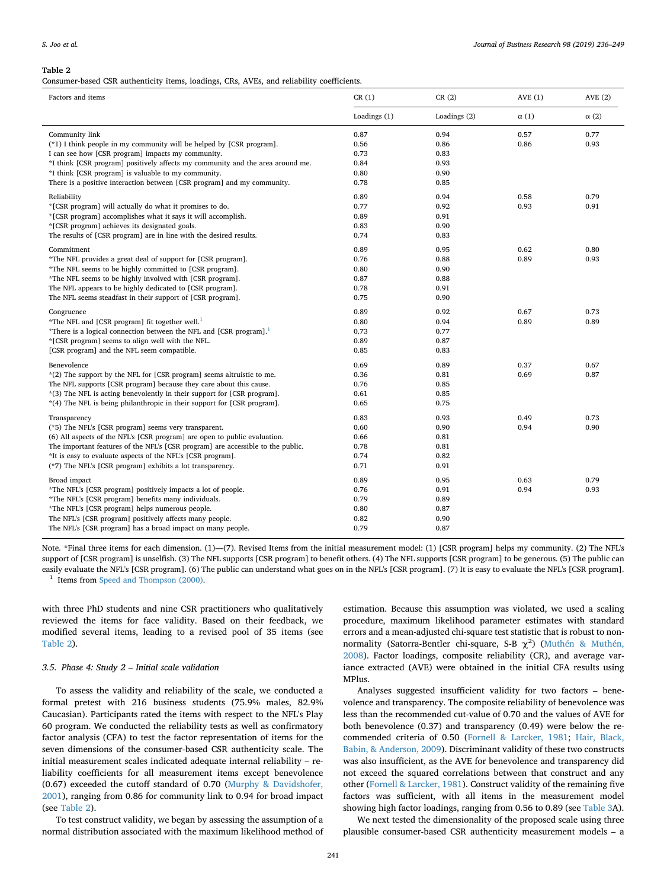<span id="page-5-0"></span>Consumer-based CSR authenticity items, loadings, CRs, AVEs, and reliability coefficients.

| Factors and items                                                               | CR(1)        | CR(2)        | AVE(1)      | AVE $(2)$    |
|---------------------------------------------------------------------------------|--------------|--------------|-------------|--------------|
|                                                                                 | Loadings (1) | Loadings (2) | $\alpha(1)$ | $\alpha$ (2) |
| Community link                                                                  | 0.87         | 0.94         | 0.57        | 0.77         |
| (*1) I think people in my community will be helped by [CSR program].            | 0.56         | 0.86         | 0.86        | 0.93         |
| I can see how [CSR program] impacts my community.                               | 0.73         | 0.83         |             |              |
| *I think [CSR program] positively affects my community and the area around me.  | 0.84         | 0.93         |             |              |
| *I think [CSR program] is valuable to my community.                             | 0.80         | 0.90         |             |              |
| There is a positive interaction between [CSR program] and my community.         | 0.78         | 0.85         |             |              |
| Reliability                                                                     | 0.89         | 0.94         | 0.58        | 0.79         |
| *[CSR program] will actually do what it promises to do.                         | 0.77         | 0.92         | 0.93        | 0.91         |
| *[CSR program] accomplishes what it says it will accomplish.                    | 0.89         | 0.91         |             |              |
| *[CSR program] achieves its designated goals.                                   | 0.83         | 0.90         |             |              |
| The results of [CSR program] are in line with the desired results.              | 0.74         | 0.83         |             |              |
| Commitment                                                                      | 0.89         | 0.95         | 0.62        | 0.80         |
| *The NFL provides a great deal of support for [CSR program].                    | 0.76         | 0.88         | 0.89        | 0.93         |
| *The NFL seems to be highly committed to [CSR program].                         | 0.80         | 0.90         |             |              |
| *The NFL seems to be highly involved with [CSR program].                        | 0.87         | 0.88         |             |              |
| The NFL appears to be highly dedicated to [CSR program].                        | 0.78         | 0.91         |             |              |
| The NFL seems steadfast in their support of [CSR program].                      | 0.75         | 0.90         |             |              |
| Congruence                                                                      | 0.89         | 0.92         | 0.67        | 0.73         |
| *The NFL and [CSR program] fit together well. <sup>1</sup>                      | 0.80         | 0.94         | 0.89        | 0.89         |
| *There is a logical connection between the NFL and [CSR program]. <sup>1</sup>  | 0.73         | 0.77         |             |              |
| *[CSR program] seems to align well with the NFL.                                | 0.89         | 0.87         |             |              |
| [CSR program] and the NFL seem compatible.                                      | 0.85         | 0.83         |             |              |
| Benevolence                                                                     | 0.69         | 0.89         | 0.37        | 0.67         |
| *(2) The support by the NFL for [CSR program] seems altruistic to me.           | 0.36         | 0.81         | 0.69        | 0.87         |
| The NFL supports [CSR program] because they care about this cause.              | 0.76         | 0.85         |             |              |
| *(3) The NFL is acting benevolently in their support for [CSR program].         | 0.61         | 0.85         |             |              |
| *(4) The NFL is being philanthropic in their support for [CSR program].         | 0.65         | 0.75         |             |              |
|                                                                                 |              |              |             |              |
| Transparency                                                                    | 0.83         | 0.93         | 0.49        | 0.73         |
| (*5) The NFL's [CSR program] seems very transparent.                            | 0.60         | 0.90         | 0.94        | 0.90         |
| (6) All aspects of the NFL's [CSR program] are open to public evaluation.       | 0.66         | 0.81         |             |              |
| The important features of the NFL's [CSR program] are accessible to the public. | 0.78         | 0.81         |             |              |
| *It is easy to evaluate aspects of the NFL's [CSR program].                     | 0.74         | 0.82         |             |              |
| (*7) The NFL's [CSR program] exhibits a lot transparency.                       | 0.71         | 0.91         |             |              |
| Broad impact                                                                    | 0.89         | 0.95         | 0.63        | 0.79         |
| *The NFL's [CSR program] positively impacts a lot of people.                    | 0.76         | 0.91         | 0.94        | 0.93         |
| *The NFL's [CSR program] benefits many individuals.                             | 0.79         | 0.89         |             |              |
| *The NFL's [CSR program] helps numerous people.                                 | 0.80         | 0.87         |             |              |
| The NFL's [CSR program] positively affects many people.                         | 0.82         | 0.90         |             |              |
| The NFL's [CSR program] has a broad impact on many people.                      | 0.79         | 0.87         |             |              |

<span id="page-5-1"></span>Note. \*Final three items for each dimension. (1)—(7). Revised Items from the initial measurement model: (1) [CSR program] helps my community. (2) The NFL's support of [CSR program] is unselfish. (3) The NFL supports [CSR program] to benefit others. (4) The NFL supports [CSR program] to be generous. (5) The public can easily evaluate the NFL's [CSR program]. (6) The public can understand what goes on in the NFL's [CSR program]. (7) It is easy to evaluate the NFL's [CSR program]. <sup>1</sup> Items from [Speed and Thompson \(2000\)](#page-12-40).

with three PhD students and nine CSR practitioners who qualitatively reviewed the items for face validity. Based on their feedback, we modified several items, leading to a revised pool of 35 items (see [Table 2](#page-5-0)).

## *3.5. Phase 4: Study 2 – Initial scale validation*

To assess the validity and reliability of the scale, we conducted a formal pretest with 216 business students (75.9% males, 82.9% Caucasian). Participants rated the items with respect to the NFL's Play 60 program. We conducted the reliability tests as well as confirmatory factor analysis (CFA) to test the factor representation of items for the seven dimensions of the consumer-based CSR authenticity scale. The initial measurement scales indicated adequate internal reliability – reliability coefficients for all measurement items except benevolence (0.67) exceeded the cutoff standard of 0.70 ([Murphy & Davidshofer,](#page-12-44) [2001\)](#page-12-44), ranging from 0.86 for community link to 0.94 for broad impact (see [Table 2\)](#page-5-0).

To test construct validity, we began by assessing the assumption of a normal distribution associated with the maximum likelihood method of estimation. Because this assumption was violated, we used a scaling procedure, maximum likelihood parameter estimates with standard errors and a mean-adjusted chi-square test statistic that is robust to nonnormality (Satorra-Bentler chi-square, S-B  $\chi^2$ ) ([Muthén & Muthén,](#page-12-45) [2008\)](#page-12-45). Factor loadings, composite reliability (CR), and average variance extracted (AVE) were obtained in the initial CFA results using MPlus.

Analyses suggested insufficient validity for two factors – benevolence and transparency. The composite reliability of benevolence was less than the recommended cut-value of 0.70 and the values of AVE for both benevolence (0.37) and transparency (0.49) were below the recommended criteria of 0.50 ([Fornell & Larcker, 1981;](#page-12-46) [Hair, Black,](#page-12-47) [Babin, & Anderson, 2009](#page-12-47)). Discriminant validity of these two constructs was also insufficient, as the AVE for benevolence and transparency did not exceed the squared correlations between that construct and any other [\(Fornell & Larcker, 1981\)](#page-12-46). Construct validity of the remaining five factors was sufficient, with all items in the measurement model showing high factor loadings, ranging from 0.56 to 0.89 (see [Table 3](#page-6-0)A).

We next tested the dimensionality of the proposed scale using three plausible consumer-based CSR authenticity measurement models – a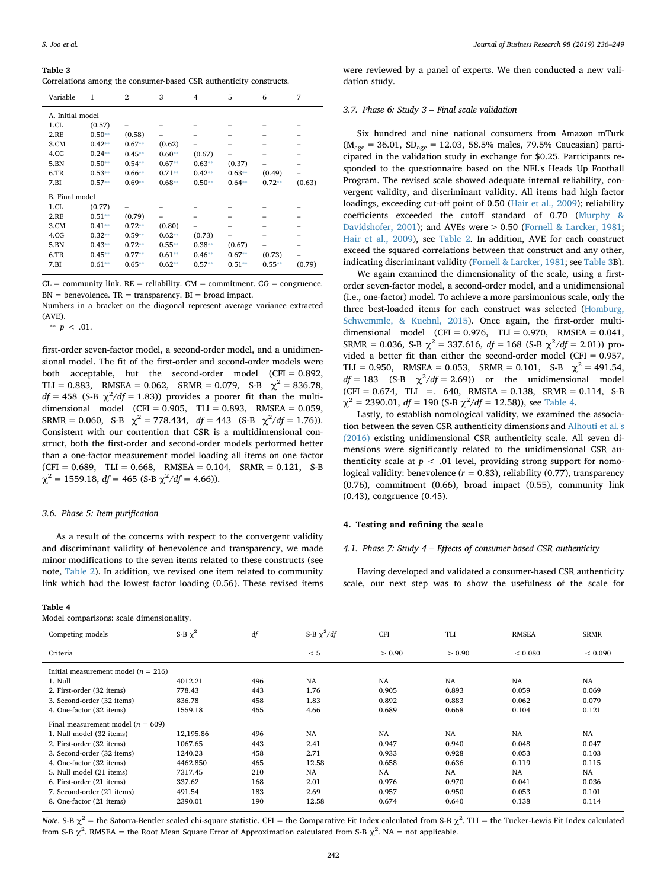<span id="page-6-0"></span>Correlations among the consumer-based CSR authenticity constructs.

| Variable         | $\mathbf{1}$ | 2         | 3         | 4        | 5        | 6        | 7      |
|------------------|--------------|-----------|-----------|----------|----------|----------|--------|
| A. Initial model |              |           |           |          |          |          |        |
| 1.CL             | (0.57)       |           |           |          |          |          |        |
| 2.RE             | $0.50**$     | (0.58)    |           |          |          |          |        |
| 3.CM             | $0.42**$     | $0.67**$  | (0.62)    |          |          |          |        |
| 4.CG             | $0.24**$     | $0.45***$ | $0.60**$  | (0.67)   |          |          |        |
| 5.BN             | $0.50**$     | $0.54**$  | $0.67**$  | $0.63**$ | (0.37)   |          |        |
| 6.TR             | $0.53**$     | $0.66**$  | $0.71**$  | $0.42**$ | $0.63**$ | (0.49)   |        |
| 7.BI             | $0.57**$     | $0.69**$  | $0.68**$  | $0.50**$ | $0.64**$ | $0.72**$ | (0.63) |
| B. Final model   |              |           |           |          |          |          |        |
| 1.CL             | (0.77)       |           |           |          |          |          |        |
| 2.RE             | $0.51**$     | (0.79)    |           |          |          |          |        |
| 3.CM             | $0.41**$     | $0.72**$  | (0.80)    |          |          |          |        |
| 4.CG             | $0.32**$     | $0.59**$  | $0.62**$  | (0.73)   |          |          |        |
| 5.BN             | $0.43**$     | $0.72**$  | $0.55***$ | $0.38**$ | (0.67)   |          |        |
| 6.TR             | $0.45***$    | $0.77**$  | $0.61**$  | $0.46**$ | $0.67**$ | (0.73)   |        |
| 7.BI             | $0.61**$     | $0.65**$  | $0.62**$  | $0.57**$ | $0.51**$ | $0.55**$ | (0.79) |

 $CL = community$  link.  $RE = reliability$ .  $CM = commitment$ .  $CG = congruence$ .  $BN =$  benevolence.  $TR =$  transparency.  $BI =$  broad impact.

Numbers in a bracket on the diagonal represent average variance extracted (AVE).

<span id="page-6-2"></span>⁎⁎ *p* < .01.

first-order seven-factor model, a second-order model, and a unidimensional model. The fit of the first-order and second-order models were both acceptable, but the second-order model (CFI = 0.892, TLI = 0.883, RMSEA = 0.062, SRMR = 0.079, S-B  $\chi^2 = 836.78$ ,  $df = 458$  (S-B  $\chi^2/df = 1.83$ )) provides a poorer fit than the multidimensional model (CFI =  $0.905$ , TLI =  $0.893$ , RMSEA =  $0.059$ , SRMR = 0.060, S-B  $\chi^2 = 778.434$ ,  $df = 443$  (S-B  $\chi^2/df = 1.76$ )). Consistent with our contention that CSR is a multidimensional construct, both the first-order and second-order models performed better than a one-factor measurement model loading all items on one factor  $(CFI = 0.689, TLI = 0.668, RMSEA = 0.104, SRMR = 0.121, S-B$  $\chi^2 = 1559.18$ ,  $df = 465$  (S-B  $\chi^2/df = 4.66$ )).

## *3.6. Phase 5: Item purification*

As a result of the concerns with respect to the convergent validity and discriminant validity of benevolence and transparency, we made minor modifications to the seven items related to these constructs (see note, [Table 2\)](#page-5-0). In addition, we revised one item related to community link which had the lowest factor loading (0.56). These revised items

#### <span id="page-6-1"></span>**Table 4**

were reviewed by a panel of experts. We then conducted a new validation study.

## *3.7. Phase 6: Study 3 – Final scale validation*

Six hundred and nine national consumers from Amazon mTurk  $(M<sub>age</sub> = 36.01, SD<sub>age</sub> = 12.03, 58.5% males, 79.5% Caucasian) parti$ cipated in the validation study in exchange for \$0.25. Participants responded to the questionnaire based on the NFL's Heads Up Football Program. The revised scale showed adequate internal reliability, convergent validity, and discriminant validity. All items had high factor loadings, exceeding cut-off point of 0.50 [\(Hair et al., 2009](#page-12-47)); reliability coefficients exceeded the cutoff standard of 0.70 [\(Murphy &](#page-12-44) [Davidshofer, 2001](#page-12-44)); and AVEs were > 0.50 ([Fornell & Larcker, 1981](#page-12-46); [Hair et al., 2009\)](#page-12-47), see [Table 2](#page-5-0). In addition, AVE for each construct exceed the squared correlations between that construct and any other, indicating discriminant validity ([Fornell & Larcker, 1981;](#page-12-46) see [Table 3B](#page-6-0)).

We again examined the dimensionality of the scale, using a firstorder seven-factor model, a second-order model, and a unidimensional (i.e., one-factor) model. To achieve a more parsimonious scale, only the three best-loaded items for each construct was selected [\(Homburg,](#page-12-48) [Schwemmle, & Kuehnl, 2015](#page-12-48)). Once again, the first-order multidimensional model (CFI =  $0.976$ , TLI =  $0.970$ , RMSEA =  $0.041$ , SRMR = 0.036, S-B  $\chi^2$  = 337.616,  $df = 168$  (S-B  $\chi^2/df = 2.01$ )) provided a better fit than either the second-order model (CFI = 0.957, TLI = 0.950, RMSEA = 0.053, SRMR = 0.101, S-B  $\chi^2$  = 491.54,  $df = 183$  (S-B  $\chi^2/df = 2.69$ )) or the unidimensional model  $(CFI = 0.674, TLI = 640, RMSEA = 0.138, SRMR = 0.114, S-B$  $\chi^2$  = 2390.01, *df* = 190 (S-B  $\chi^2/df$  = 12.58)), see [Table 4](#page-6-1).

Lastly, to establish nomological validity, we examined the association between the seven CSR authenticity dimensions and [Alhouti et al.'s](#page-11-1) [\(2016\)](#page-11-1) existing unidimensional CSR authenticity scale. All seven dimensions were significantly related to the unidimensional CSR authenticity scale at  $p < .01$  level, providing strong support for nomological validity: benevolence  $(r = 0.83)$ , reliability (0.77), transparency (0.76), commitment (0.66), broad impact (0.55), community link (0.43), congruence (0.45).

## **4. Testing and refining the scale**

## *4.1. Phase 7: Study 4 – Effects of consumer-based CSR authenticity*

Having developed and validated a consumer-based CSR authenticity scale, our next step was to show the usefulness of the scale for

| Competing models                        | S-B $\chi^2$ | df  | S-B $\chi^2/df$ | <b>CFI</b> | TLI       | <b>RMSEA</b>   | <b>SRMR</b> |
|-----------------------------------------|--------------|-----|-----------------|------------|-----------|----------------|-------------|
| Criteria                                |              |     | < 5             | > 0.90     | > 0.90    | ${}_{< 0.080}$ | < 0.090     |
| Initial measurement model ( $n = 216$ ) |              |     |                 |            |           |                |             |
| 1. Null                                 | 4012.21      | 496 | NA              | NA         | NA        | <b>NA</b>      | NA          |
| 2. First-order (32 items)               | 778.43       | 443 | 1.76            | 0.905      | 0.893     | 0.059          | 0.069       |
| 3. Second-order (32 items)              | 836.78       | 458 | 1.83            | 0.892      | 0.883     | 0.062          | 0.079       |
| 4. One-factor (32 items)                | 1559.18      | 465 | 4.66            | 0.689      | 0.668     | 0.104          | 0.121       |
| Final measurement model ( $n = 609$ )   |              |     |                 |            |           |                |             |
| 1. Null model (32 items)                | 12,195.86    | 496 | NA              | NA         | <b>NA</b> | <b>NA</b>      | NA          |
| 2. First-order (32 items)               | 1067.65      | 443 | 2.41            | 0.947      | 0.940     | 0.048          | 0.047       |
| 3. Second-order (32 items)              | 1240.23      | 458 | 2.71            | 0.933      | 0.928     | 0.053          | 0.103       |
| 4. One-factor (32 items)                | 4462.850     | 465 | 12.58           | 0.658      | 0.636     | 0.119          | 0.115       |
| 5. Null model (21 items)                | 7317.45      | 210 | NA              | NA         | NA        | <b>NA</b>      | NA          |
| 6. First-order (21 items)               | 337.62       | 168 | 2.01            | 0.976      | 0.970     | 0.041          | 0.036       |
| 7. Second-order (21 items)              | 491.54       | 183 | 2.69            | 0.957      | 0.950     | 0.053          | 0.101       |
| 8. One-factor (21 items)                | 2390.01      | 190 | 12.58           | 0.674      | 0.640     | 0.138          | 0.114       |

*Note.* S-B  $\chi^2$  = the Satorra-Bentler scaled chi-square statistic. CFI = the Comparative Fit Index calculated from S-B  $\chi^2$ . TLI = the Tucker-Lewis Fit Index calculated from S-B  $\chi^2$ . RMSEA = the Root Mean Square Error of Approximation calculated from S-B  $\chi^2$ . NA = not applicable.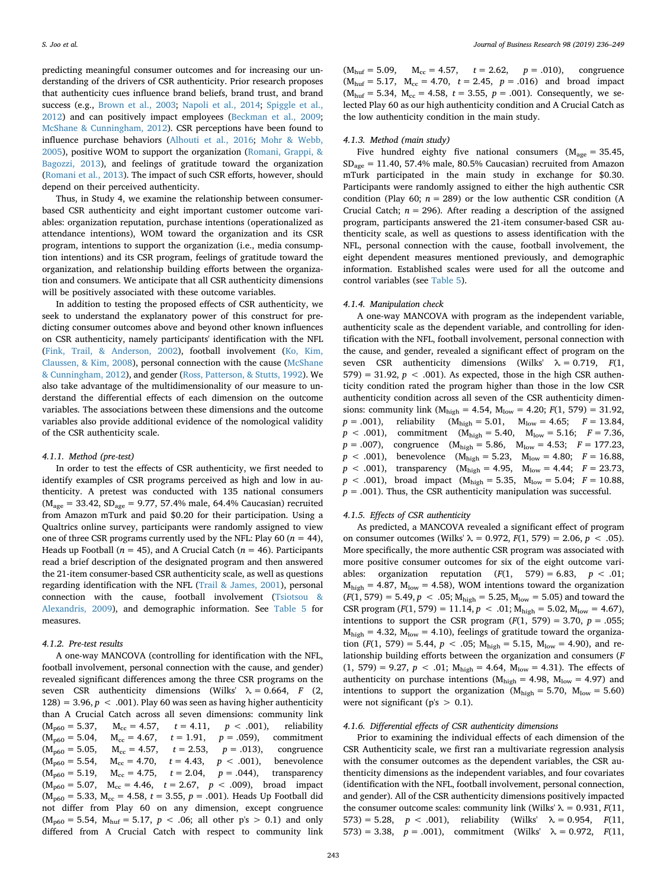predicting meaningful consumer outcomes and for increasing our understanding of the drivers of CSR authenticity. Prior research proposes that authenticity cues influence brand beliefs, brand trust, and brand success (e.g., [Brown et al., 2003](#page-12-4); [Napoli et al., 2014;](#page-12-7) [Spiggle et al.,](#page-12-8) [2012\)](#page-12-8) and can positively impact employees ([Beckman et al., 2009](#page-11-2); [McShane & Cunningham, 2012](#page-12-23)). CSR perceptions have been found to influence purchase behaviors ([Alhouti et al., 2016](#page-11-1); [Mohr & Webb,](#page-12-49) [2005\)](#page-12-49), positive WOM to support the organization [\(Romani, Grappi, &](#page-12-50) [Bagozzi, 2013\)](#page-12-50), and feelings of gratitude toward the organization ([Romani et al., 2013](#page-12-50)). The impact of such CSR efforts, however, should depend on their perceived authenticity.

Thus, in Study 4, we examine the relationship between consumerbased CSR authenticity and eight important customer outcome variables: organization reputation, purchase intentions (operationalized as attendance intentions), WOM toward the organization and its CSR program, intentions to support the organization (i.e., media consumption intentions) and its CSR program, feelings of gratitude toward the organization, and relationship building efforts between the organization and consumers. We anticipate that all CSR authenticity dimensions will be positively associated with these outcome variables.

In addition to testing the proposed effects of CSR authenticity, we seek to understand the explanatory power of this construct for predicting consumer outcomes above and beyond other known influences on CSR authenticity, namely participants' identification with the NFL ([Fink, Trail, & Anderson, 2002\)](#page-12-51), football involvement ([Ko, Kim,](#page-12-52) [Claussen, & Kim, 2008](#page-12-52)), personal connection with the cause ([McShane](#page-12-23) [& Cunningham, 2012](#page-12-23)), and gender [\(Ross, Patterson, & Stutts, 1992](#page-12-53)). We also take advantage of the multidimensionality of our measure to understand the differential effects of each dimension on the outcome variables. The associations between these dimensions and the outcome variables also provide additional evidence of the nomological validity of the CSR authenticity scale.

### *4.1.1. Method (pre-test)*

In order to test the effects of CSR authenticity, we first needed to identify examples of CSR programs perceived as high and low in authenticity. A pretest was conducted with 135 national consumers  $(M_{\text{age}} = 33.42, SD_{\text{age}} = 9.77, 57.4\%$  male, 64.4% Caucasian) recruited from Amazon mTurk and paid \$0.20 for their participation. Using a Qualtrics online survey, participants were randomly assigned to view one of three CSR programs currently used by the NFL: Play 60 ( $n = 44$ ), Heads up Football ( $n = 45$ ), and A Crucial Catch ( $n = 46$ ). Participants read a brief description of the designated program and then answered the 21-item consumer-based CSR authenticity scale, as well as questions regarding identification with the NFL ([Trail & James, 2001\)](#page-12-54), personal connection with the cause, football involvement ([Tsiotsou &](#page-12-55) [Alexandris, 2009](#page-12-55)), and demographic information. See [Table 5](#page-8-0) for measures.

#### *4.1.2. Pre-test results*

A one-way MANCOVA (controlling for identification with the NFL, football involvement, personal connection with the cause, and gender) revealed significant differences among the three CSR programs on the seven CSR authenticity dimensions (Wilks'  $\lambda = 0.664$ , *F* (2,  $128$ ) = 3.96,  $p < .001$ ). Play 60 was seen as having higher authenticity than A Crucial Catch across all seven dimensions: community link  $(M_{p60} = 5.37,$   $M_{cc} = 4.57,$   $t = 4.11,$   $p < .001$ , reliability<br> $(M_{p60} = 5.04,$   $M_{cc} = 4.67,$   $t = 1.91,$   $p = .059$ , commitment  $(M_{p60} = 5.04,$   $M_{cc} = 4.67,$   $t = 1.91,$   $p = .059$ , commitment  $(M_{p60} = 5.05,$   $M_{cc} = 4.57,$   $t = 2.53,$   $p = .013$ ), congruence  $(M_{p60} = 5.05,$   $M_{cc} = 4.57,$   $t = 2.53,$   $p = .013$ ), congruence<br> $(M_{p60} = 5.54,$   $M_{cc} = 4.70,$   $t = 4.43,$   $p < .001$ ), benevolence  $(M_{p60} = 5.54, M_{cc} = 4.70, t = 4.43, p < .001),$ <br>  $(M_{p60} = 5.19, M_{cc} = 4.75, t = 2.04, p = .044),$  $M_{cc} = 4.75$ ,  $t = 2.04$ ,  $p = .044$ ), transparency  $(M_{p60} = 5.07, M_{cc} = 4.46, t = 2.67, p < .009)$ , broad impact  $(M_{p60} = 5.33, M_{cc} = 4.58, t = 3.55, p = .001)$ . Heads Up Football did not differ from Play 60 on any dimension, except congruence  $(M_{p60} = 5.54, M_{huf} = 5.17, p < .06;$  all other p's > 0.1) and only differed from A Crucial Catch with respect to community link

 $(M_{\text{huf}} = 5.09, \quad M_{\text{cc}} = 4.57, \quad t = 2.62, \quad p = .010), \quad \text{congruence}$  $(M_{\text{huf}} = 5.17, M_{\text{cc}} = 4.70, t = 2.45, p = .016)$  and broad impact  $(M_{\text{huf}} = 5.34, M_{\text{cc}} = 4.58, t = 3.55, p = .001)$ . Consequently, we selected Play 60 as our high authenticity condition and A Crucial Catch as the low authenticity condition in the main study.

#### *4.1.3. Method (main study)*

Five hundred eighty five national consumers ( $M_{\text{age}} = 35.45$ ,  $SD<sub>age</sub> = 11.40, 57.4%$  male, 80.5% Caucasian) recruited from Amazon mTurk participated in the main study in exchange for \$0.30. Participants were randomly assigned to either the high authentic CSR condition (Play 60;  $n = 289$ ) or the low authentic CSR condition (A Crucial Catch:  $n = 296$ ). After reading a description of the assigned program, participants answered the 21-item consumer-based CSR authenticity scale, as well as questions to assess identification with the NFL, personal connection with the cause, football involvement, the eight dependent measures mentioned previously, and demographic information. Established scales were used for all the outcome and control variables (see [Table 5](#page-8-0)).

#### *4.1.4. Manipulation check*

A one-way MANCOVA with program as the independent variable, authenticity scale as the dependent variable, and controlling for identification with the NFL, football involvement, personal connection with the cause, and gender, revealed a significant effect of program on the seven CSR authenticity dimensions (Wilks'  $\lambda = 0.719$ ,  $F(1)$ , 579) = 31.92,  $p < .001$ ). As expected, those in the high CSR authenticity condition rated the program higher than those in the low CSR authenticity condition across all seven of the CSR authenticity dimensions: community link ( $M_{\text{high}} = 4.54$ ,  $M_{\text{low}} = 4.20$ ;  $F(1, 579) = 31.92$ ,  $p = .001$ , reliability (M<sub>high</sub> = 5.01, M<sub>low</sub> = 4.65;  $F = 13.84$ ,  $p < .001$ ), commitment (M<sub>high</sub> = 5.40, M<sub>low</sub> = 5.16;  $F = 7.36$ ,  $p = .007$ ), congruence (M<sub>high</sub> = 5.86, M<sub>low</sub> = 4.53;  $F = 177.23$ ,  $p < .001$ ), benevolence (M<sub>high</sub> = 5.23, M<sub>low</sub> = 4.80; *F* = 16.88,  $p < .001$ ), transparency (M<sub>high</sub> = 4.95, M<sub>low</sub> = 4.44;  $F = 23.73$ ,  $p < .001$ ), broad impact (M<sub>high</sub> = 5.35, M<sub>low</sub> = 5.04;  $F = 10.88$ ,  $p = .001$ ). Thus, the CSR authenticity manipulation was successful.

## *4.1.5. Effects of CSR authenticity*

As predicted, a MANCOVA revealed a significant effect of program on consumer outcomes (Wilks'  $\lambda = 0.972$ ,  $F(1, 579) = 2.06$ ,  $p < .05$ ). More specifically, the more authentic CSR program was associated with more positive consumer outcomes for six of the eight outcome variables: organization reputation  $(F(1, 579) = 6.83, p < .01;$  $M_{\text{high}}$  = 4.87,  $M_{\text{low}}$  = 4.58), WOM intentions toward the organization  $(F(1, 579) = 5.49, p < .05; M<sub>high</sub> = 5.25, M<sub>low</sub> = 5.05)$  and toward the CSR program ( $F(1, 579) = 11.14$ ,  $p < .01$ ;  $M_{\text{high}} = 5.02$ ,  $M_{\text{low}} = 4.67$ ), intentions to support the CSR program  $(F(1, 579) = 3.70, p = .055;$  $M_{\text{high}}$  = 4.32,  $M_{\text{low}}$  = 4.10), feelings of gratitude toward the organization  $(F(1, 579) = 5.44, p < .05; M<sub>high</sub> = 5.15, M<sub>low</sub> = 4.90)$ , and relationship building efforts between the organization and consumers (*F*  $(1, 579) = 9.27, p < .01; M_{high} = 4.64, M_{low} = 4.31$ . The effects of authenticity on purchase intentions ( $M_{\text{high}} = 4.98$ ,  $M_{\text{low}} = 4.97$ ) and intentions to support the organization ( $M_{\text{high}} = 5.70$ ,  $M_{\text{low}} = 5.60$ ) were not significant ( $p's > 0.1$ ).

## *4.1.6. Differential effects of CSR authenticity dimensions*

Prior to examining the individual effects of each dimension of the CSR Authenticity scale, we first ran a multivariate regression analysis with the consumer outcomes as the dependent variables, the CSR authenticity dimensions as the independent variables, and four covariates (identification with the NFL, football involvement, personal connection, and gender). All of the CSR authenticity dimensions positively impacted the consumer outcome scales: community link (Wilks'  $\lambda = 0.931$ ,  $F(11)$ , 573) = 5.28,  $p < .001$ , reliability (Wilks'  $\lambda = 0.954$ ,  $F(11)$ , 573) = 3.38,  $p = .001$ , commitment (Wilks'  $\lambda = 0.972$ ,  $F(11)$ ,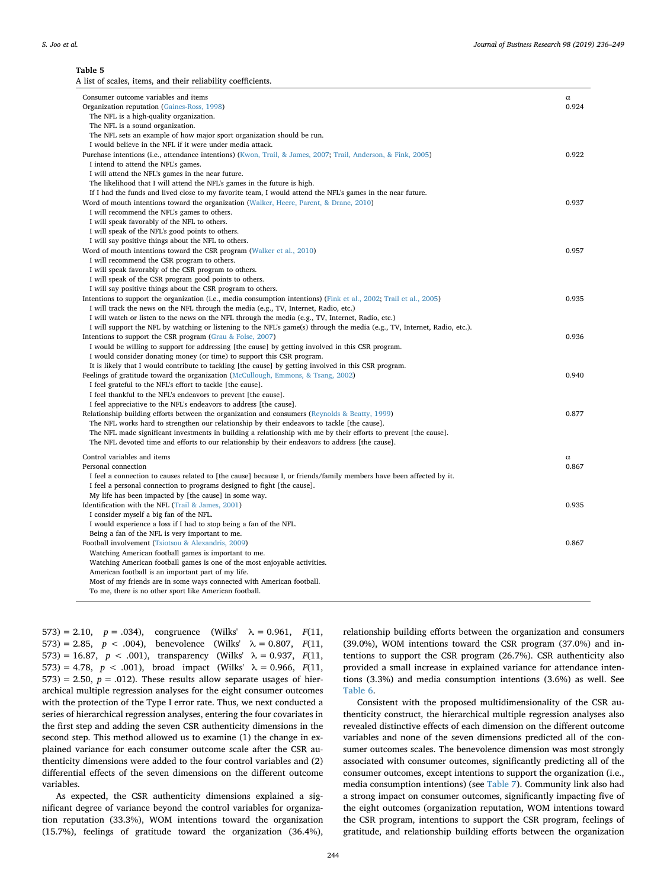<span id="page-8-0"></span>

| A list of scales, items, and their reliability coefficients.                                                              |          |
|---------------------------------------------------------------------------------------------------------------------------|----------|
| Consumer outcome variables and items                                                                                      | $\alpha$ |
| Organization reputation (Gaines-Ross, 1998)                                                                               | 0.924    |
| The NFL is a high-quality organization.                                                                                   |          |
| The NFL is a sound organization.                                                                                          |          |
| The NFL sets an example of how major sport organization should be run.                                                    |          |
| I would believe in the NFL if it were under media attack.                                                                 |          |
| Purchase intentions (i.e., attendance intentions) (Kwon, Trail, & James, 2007; Trail, Anderson, & Fink, 2005)             | 0.922    |
| I intend to attend the NFL's games.                                                                                       |          |
| I will attend the NFL's games in the near future.                                                                         |          |
| The likelihood that I will attend the NFL's games in the future is high.                                                  |          |
| If I had the funds and lived close to my favorite team, I would attend the NFL's games in the near future.                |          |
| Word of mouth intentions toward the organization (Walker, Heere, Parent, & Drane, 2010)                                   | 0.937    |
| I will recommend the NFL's games to others.                                                                               |          |
| I will speak favorably of the NFL to others.                                                                              |          |
| I will speak of the NFL's good points to others.                                                                          |          |
| I will say positive things about the NFL to others.                                                                       |          |
| Word of mouth intentions toward the CSR program (Walker et al., 2010)                                                     | 0.957    |
| I will recommend the CSR program to others.                                                                               |          |
| I will speak favorably of the CSR program to others.                                                                      |          |
| I will speak of the CSR program good points to others.                                                                    |          |
| I will say positive things about the CSR program to others.                                                               |          |
| Intentions to support the organization (i.e., media consumption intentions) (Fink et al., 2002; Trail et al., 2005)       | 0.935    |
| I will track the news on the NFL through the media (e.g., TV, Internet, Radio, etc.)                                      |          |
| I will watch or listen to the news on the NFL through the media (e.g., TV, Internet, Radio, etc.)                         |          |
| I will support the NFL by watching or listening to the NFL's game(s) through the media (e.g., TV, Internet, Radio, etc.). |          |
| Intentions to support the CSR program (Grau & Folse, 2007)                                                                | 0.936    |
| I would be willing to support for addressing [the cause] by getting involved in this CSR program.                         |          |
| I would consider donating money (or time) to support this CSR program.                                                    |          |
| It is likely that I would contribute to tackling [the cause] by getting involved in this CSR program.                     |          |
| Feelings of gratitude toward the organization (McCullough, Emmons, & Tsang, 2002)                                         | 0.940    |
| I feel grateful to the NFL's effort to tackle [the cause].                                                                |          |
| I feel thankful to the NFL's endeavors to prevent [the cause].                                                            |          |
| I feel appreciative to the NFL's endeavors to address [the cause].                                                        |          |
| Relationship building efforts between the organization and consumers (Reynolds & Beatty, 1999)                            | 0.877    |
| The NFL works hard to strengthen our relationship by their endeavors to tackle [the cause].                               |          |
| The NFL made significant investments in building a relationship with me by their efforts to prevent [the cause].          |          |
| The NFL devoted time and efforts to our relationship by their endeavors to address [the cause].                           |          |
| Control variables and items                                                                                               | $\alpha$ |
| Personal connection                                                                                                       | 0.867    |
| I feel a connection to causes related to [the cause] because I, or friends/family members have been affected by it.       |          |
| I feel a personal connection to programs designed to fight [the cause].                                                   |          |
| My life has been impacted by [the cause] in some way.                                                                     |          |
| Identification with the NFL (Trail & James, 2001)                                                                         | 0.935    |
| I consider myself a big fan of the NFL.                                                                                   |          |
| I would experience a loss if I had to stop being a fan of the NFL.                                                        |          |
| Being a fan of the NFL is very important to me.                                                                           |          |
| Football involvement (Tsiotsou & Alexandris, 2009)                                                                        | 0.867    |
| Watching American football games is important to me.                                                                      |          |
| Watching American football games is one of the most enjoyable activities.                                                 |          |
| American football is an important part of my life.                                                                        |          |
| Most of my friends are in some ways connected with American football.                                                     |          |
| To me, there is no other sport like American football.                                                                    |          |

573) = 2.10,  $p = .034$ , congruence (Wilks'  $\lambda = 0.961$ ,  $F(11)$ , 573) = 2.85,  $p < .004$ ), benevolence (Wilks'  $\lambda = 0.807$ ,  $F(11)$ , 573) = 16.87,  $p < .001$ ), transparency (Wilks'  $\lambda = 0.937$ ,  $F(11)$ , 573) = 4.78,  $p < .001$ , broad impact (Wilks'  $\lambda = 0.966$ ,  $F(11)$ ,  $573$ ) = 2.50,  $p = .012$ ). These results allow separate usages of hierarchical multiple regression analyses for the eight consumer outcomes with the protection of the Type I error rate. Thus, we next conducted a series of hierarchical regression analyses, entering the four covariates in the first step and adding the seven CSR authenticity dimensions in the second step. This method allowed us to examine (1) the change in explained variance for each consumer outcome scale after the CSR authenticity dimensions were added to the four control variables and (2) differential effects of the seven dimensions on the different outcome variables.

As expected, the CSR authenticity dimensions explained a significant degree of variance beyond the control variables for organization reputation (33.3%), WOM intentions toward the organization (15.7%), feelings of gratitude toward the organization (36.4%),

relationship building efforts between the organization and consumers (39.0%), WOM intentions toward the CSR program (37.0%) and intentions to support the CSR program (26.7%). CSR authenticity also provided a small increase in explained variance for attendance intentions (3.3%) and media consumption intentions (3.6%) as well. See [Table 6](#page-9-0).

Consistent with the proposed multidimensionality of the CSR authenticity construct, the hierarchical multiple regression analyses also revealed distinctive effects of each dimension on the different outcome variables and none of the seven dimensions predicted all of the consumer outcomes scales. The benevolence dimension was most strongly associated with consumer outcomes, significantly predicting all of the consumer outcomes, except intentions to support the organization (i.e., media consumption intentions) (see [Table 7](#page-10-0)). Community link also had a strong impact on consumer outcomes, significantly impacting five of the eight outcomes (organization reputation, WOM intentions toward the CSR program, intentions to support the CSR program, feelings of gratitude, and relationship building efforts between the organization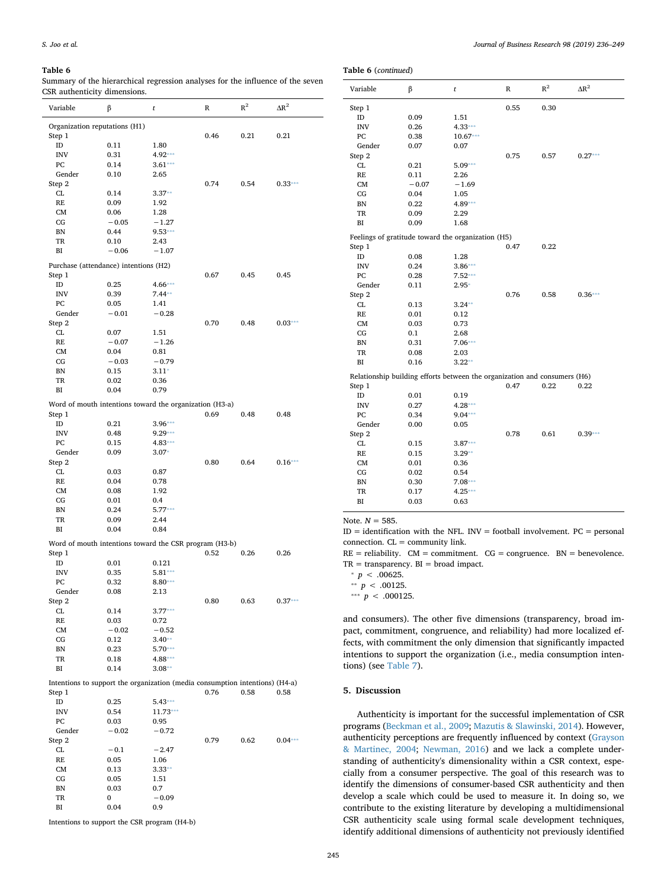l.

<span id="page-9-0"></span>Summary of the hierarchical regression analyses for the influence of the seven CSR authenticity dimensions.

| Variable                                                                     | β       | t         | R    | $R^2$ | $\Delta R^2$ |
|------------------------------------------------------------------------------|---------|-----------|------|-------|--------------|
| Organization reputations (H1)<br>Step 1                                      | 0.46    | 0.21      | 0.21 |       |              |
| ID                                                                           | 0.11    | 1.80      |      |       |              |
| <b>INV</b>                                                                   | 0.31    | $4.92***$ |      |       |              |
| PC                                                                           |         |           |      |       |              |
|                                                                              | 0.14    | $3.61***$ |      |       |              |
| Gender                                                                       | 0.10    | 2.65      |      |       |              |
| Step 2                                                                       |         |           | 0.74 | 0.54  | $0.33***$    |
| CL.                                                                          | 0.14    | $3.37**$  |      |       |              |
| RE                                                                           | 0.09    | 1.92      |      |       |              |
| CM                                                                           | 0.06    | 1.28      |      |       |              |
| $_{\rm CG}$                                                                  | $-0.05$ | $-1.27$   |      |       |              |
| ΒN                                                                           | 0.44    | $9.53***$ |      |       |              |
| TR                                                                           | 0.10    | 2.43      |      |       |              |
| ВI                                                                           | $-0.06$ | $-1.07$   |      |       |              |
|                                                                              |         |           |      |       |              |
| Purchase (attendance) intentions (H2)                                        |         |           |      |       |              |
| Step 1                                                                       |         |           | 0.67 | 0.45  | 0.45         |
| ID                                                                           | 0.25    | $4.66***$ |      |       |              |
| <b>INV</b>                                                                   | 0.39    | 7.44**    |      |       |              |
| PC                                                                           | 0.05    | 1.41      |      |       |              |
| Gender                                                                       | $-0.01$ | $-0.28$   |      |       |              |
| Step 2                                                                       |         |           | 0.70 | 0.48  | $0.03***$    |
| CL.                                                                          | 0.07    | 1.51      |      |       |              |
| RE                                                                           | $-0.07$ | $-1.26$   |      |       |              |
| CM                                                                           | 0.04    | 0.81      |      |       |              |
| $_{\rm CG}$                                                                  | $-0.03$ | $-0.79$   |      |       |              |
| BN                                                                           | 0.15    | $3.11*$   |      |       |              |
| TR                                                                           | 0.02    | 0.36      |      |       |              |
| BI                                                                           | 0.04    | 0.79      |      |       |              |
|                                                                              |         |           |      |       |              |
| Word of mouth intentions toward the organization (H3-a)                      |         |           |      |       |              |
| Step 1                                                                       |         |           | 0.69 | 0.48  | 0.48         |
| ID                                                                           | 0.21    | $3.96***$ |      |       |              |
| <b>INV</b>                                                                   | 0.48    | $9.29***$ |      |       |              |
| PC                                                                           | 0.15    | $4.83***$ |      |       |              |
| Gender                                                                       | 0.09    | $3.07*$   |      |       |              |
| Step 2                                                                       |         |           | 0.80 | 0.64  | $0.16***$    |
| CL.                                                                          | 0.03    | 0.87      |      |       |              |
| RE                                                                           | 0.04    | 0.78      |      |       |              |
| CM                                                                           | 0.08    | 1.92      |      |       |              |
| $_{\rm CG}$                                                                  | 0.01    | 0.4       |      |       |              |
| BN                                                                           | 0.24    | $5.77***$ |      |       |              |
| TR                                                                           | 0.09    | 2.44      |      |       |              |
| BI                                                                           | 0.04    | 0.84      |      |       |              |
|                                                                              |         |           |      |       |              |
| Word of mouth intentions toward the CSR program (H3-b)                       |         |           |      |       |              |
| Step 1                                                                       |         |           | 0.52 | 0.26  | 0.26         |
| ID                                                                           | 0.01    | 0.121     |      |       |              |
| <b>INV</b>                                                                   | 0.35    | $5.81***$ |      |       |              |
| PC                                                                           | 0.32    | $8.80***$ |      |       |              |
| Gender                                                                       | 0.08    | 2.13      |      |       |              |
| Step 2                                                                       |         |           | 0.80 | 0.63  | $0.37***$    |
| CL.                                                                          | 0.14    | $3.77***$ |      |       |              |
| RE                                                                           | 0.03    | 0.72      |      |       |              |
| CM                                                                           | $-0.02$ | $-0.52$   |      |       |              |
| CG                                                                           | 0.12    | $3.40**$  |      |       |              |
| BN                                                                           | 0.23    | 5.70***   |      |       |              |
| TR                                                                           | 0.18    | $4.88***$ |      |       |              |
| BI                                                                           | 0.14    | $3.08**$  |      |       |              |
|                                                                              |         |           |      |       |              |
| Intentions to support the organization (media consumption intentions) (H4-a) |         |           |      |       |              |
| Step 1                                                                       |         |           | 0.76 | 0.58  | 0.58         |
| ID                                                                           | 0.25    | $5.43***$ |      |       |              |
| <b>INV</b>                                                                   | 0.54    | 11.73***  |      |       |              |
| PC                                                                           | 0.03    | 0.95      |      |       |              |
| Gender                                                                       | $-0.02$ | $-0.72$   |      |       |              |
| Step 2                                                                       |         |           | 0.79 | 0.62  | $0.04***$    |
| CL.                                                                          | $-0.1$  | $-2.47$   |      |       |              |
| RE                                                                           | 0.05    | 1.06      |      |       |              |
| CM                                                                           | 0.13    | $3.33**$  |      |       |              |
| CG                                                                           | 0.05    | 1.51      |      |       |              |
| ${\rm BN}$                                                                   | 0.03    | 0.7       |      |       |              |
| TR                                                                           | 0       | $-0.09$   |      |       |              |
| BI                                                                           | 0.04    | 0.9       |      |       |              |
|                                                                              |         |           |      |       |              |
| Intentions to support the CSR program (H4-b)                                 |         |           |      |       |              |

| Variable                                                                  | β       | t          | R    | $R^2$ | $\Delta R^2$ |
|---------------------------------------------------------------------------|---------|------------|------|-------|--------------|
| Step 1                                                                    |         |            | 0.55 | 0.30  |              |
| ID                                                                        | 0.09    | 1.51       |      |       |              |
| <b>INV</b>                                                                | 0.26    | 4.33***    |      |       |              |
| PC                                                                        | 0.38    | $10.67***$ |      |       |              |
| Gender                                                                    | 0.07    | 0.07       |      |       |              |
| Step 2                                                                    |         |            | 0.75 | 0.57  | $0.27***$    |
| CL.                                                                       | 0.21    | $5.09***$  |      |       |              |
| <b>RE</b>                                                                 | 0.11    | 2.26       |      |       |              |
| CM                                                                        | $-0.07$ | $-1.69$    |      |       |              |
| CG                                                                        | 0.04    | 1.05       |      |       |              |
| BN                                                                        | 0.22    | 4.89***    |      |       |              |
| TR                                                                        | 0.09    | 2.29       |      |       |              |
| BI                                                                        | 0.09    | 1.68       |      |       |              |
| Feelings of gratitude toward the organization (H5)                        |         |            |      |       |              |
| Step 1                                                                    |         |            | 0.47 | 0.22  |              |
| ID                                                                        | 0.08    | 1.28       |      |       |              |
| <b>INV</b>                                                                | 0.24    | $3.86***$  |      |       |              |
| PC                                                                        | 0.28    | $7.52***$  |      |       |              |
| Gender                                                                    | 0.11    | $2.95*$    |      |       |              |
| Step 2                                                                    |         |            | 0.76 | 0.58  | $0.36***$    |
| CL.                                                                       | 0.13    | $3.24**$   |      |       |              |
| <b>RE</b>                                                                 | 0.01    | 0.12       |      |       |              |
| CM                                                                        | 0.03    | 0.73       |      |       |              |
| CG                                                                        | 0.1     | 2.68       |      |       |              |
| <b>BN</b>                                                                 | 0.31    | $7.06***$  |      |       |              |
| TR                                                                        | 0.08    | 2.03       |      |       |              |
| BI                                                                        | 0.16    | $3.22**$   |      |       |              |
| Relationship building efforts between the organization and consumers (H6) |         |            |      |       |              |
| Step 1                                                                    |         |            | 0.47 | 0.22  | 0.22         |
| ID                                                                        | 0.01    | 0.19       |      |       |              |
| <b>INV</b>                                                                | 0.27    | 4.28***    |      |       |              |
| PC                                                                        | 0.34    | $9.04***$  |      |       |              |
| Gender                                                                    | 0.00    | 0.05       |      |       |              |
| Step 2                                                                    |         |            | 0.78 | 0.61  | $0.39***$    |
| CL.                                                                       | 0.15    | $3.87***$  |      |       |              |
| RE                                                                        | 0.15    | $3.29**$   |      |       |              |
| CM                                                                        | 0.01    | 0.36       |      |       |              |
| CG                                                                        | 0.02    | 0.54       |      |       |              |
| BN                                                                        | 0.30    | $7.08***$  |      |       |              |
| TR                                                                        | 0.17    | $4.25***$  |      |       |              |
| BI                                                                        | 0.03    | 0.63       |      |       |              |
|                                                                           |         |            |      |       |              |

Note.  $N = 585$ .

**Table 6** (*continued*)

 $ID = identification$  with the NFL.  $INV = football$  involvement.  $PC = personal$ connection. CL = community link.

 $RE = reliability$ .  $CM = commitment$ .  $CG = congruence$ .  $BN = benevolence$ .  $TR = transparency$ .  $BI = broad impact$ .

and consumers). The other five dimensions (transparency, broad impact, commitment, congruence, and reliability) had more localized effects, with commitment the only dimension that significantly impacted intentions to support the organization (i.e., media consumption intentions) (see [Table 7\)](#page-10-0).

## **5. Discussion**

Authenticity is important for the successful implementation of CSR programs ([Beckman et al., 2009;](#page-11-2) [Mazutis & Slawinski, 2014](#page-12-13)). However, authenticity perceptions are frequently influenced by context ([Grayson](#page-12-14) [& Martinec, 2004;](#page-12-14) [Newman, 2016\)](#page-12-24) and we lack a complete understanding of authenticity's dimensionality within a CSR context, especially from a consumer perspective. The goal of this research was to identify the dimensions of consumer-based CSR authenticity and then develop a scale which could be used to measure it. In doing so, we contribute to the existing literature by developing a multidimensional CSR authenticity scale using formal scale development techniques, identify additional dimensions of authenticity not previously identified

<span id="page-9-3"></span> $p < .00625$ .

<span id="page-9-2"></span><sup>\*\*</sup>  $p < .00125$ .

<span id="page-9-1"></span><sup>\*\*\*</sup>  $p < .000125$ .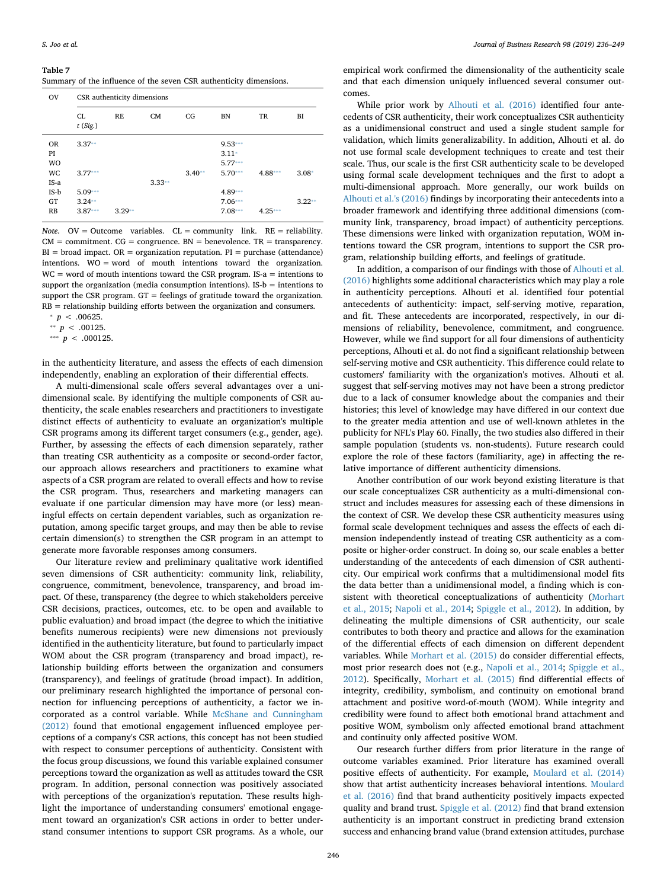<span id="page-10-0"></span>Summary of the influence of the seven CSR authenticity dimensions.

| <b>OV</b>                    |                   | CSR authenticity dimensions |           |          |                                   |           |          |
|------------------------------|-------------------|-----------------------------|-----------|----------|-----------------------------------|-----------|----------|
|                              | CL.<br>$t$ (Sig.) | RE                          | <b>CM</b> | CG       | <b>BN</b>                         | <b>TR</b> | ВI       |
| <b>OR</b><br>PI<br><b>WO</b> | $3.37**$          |                             |           |          | $9.53***$<br>$3.11*$<br>$5.77***$ |           |          |
| <b>WC</b><br>$IS-a$          | $3.77***$         |                             | $3.33**$  | $3.40**$ | $5.70***$                         | 4.88***   | $3.08*$  |
| $IS-b$                       | $5.09***$         |                             |           |          | 4.89***                           |           |          |
| GT                           | $3.24**$          |                             |           |          | $7.06***$                         |           | $3.22**$ |
| RB                           | $3.87***$         | $3.29**$                    |           |          | $7.08***$                         | $4.25***$ |          |

*Note*.  $OV = Outcome$  variables.  $CL = community$  link.  $RE = reliability$ .  $CM =$  commitment.  $CG =$  congruence.  $BN =$  benevolence.  $TR =$  transparency.  $BI = broad impact. OR = organization reputation. PI = purchase (attendance)$ intentions. WO = word of mouth intentions toward the organization. WC = word of mouth intentions toward the CSR program. IS-a = intentions to support the organization (media consumption intentions). IS- $b =$  intentions to support the CSR program.  $GT$  = feelings of gratitude toward the organization. RB = relationship building efforts between the organization and consumers.

<span id="page-10-3"></span><span id="page-10-1"></span> $p < .00625$ . \*\*  $p < .00125$ .

<span id="page-10-2"></span>\*\*\*  $p < .000125$ .

in the authenticity literature, and assess the effects of each dimension independently, enabling an exploration of their differential effects.

A multi-dimensional scale offers several advantages over a unidimensional scale. By identifying the multiple components of CSR authenticity, the scale enables researchers and practitioners to investigate distinct effects of authenticity to evaluate an organization's multiple CSR programs among its different target consumers (e.g., gender, age). Further, by assessing the effects of each dimension separately, rather than treating CSR authenticity as a composite or second-order factor, our approach allows researchers and practitioners to examine what aspects of a CSR program are related to overall effects and how to revise the CSR program. Thus, researchers and marketing managers can evaluate if one particular dimension may have more (or less) meaningful effects on certain dependent variables, such as organization reputation, among specific target groups, and may then be able to revise certain dimension(s) to strengthen the CSR program in an attempt to generate more favorable responses among consumers.

Our literature review and preliminary qualitative work identified seven dimensions of CSR authenticity: community link, reliability, congruence, commitment, benevolence, transparency, and broad impact. Of these, transparency (the degree to which stakeholders perceive CSR decisions, practices, outcomes, etc. to be open and available to public evaluation) and broad impact (the degree to which the initiative benefits numerous recipients) were new dimensions not previously identified in the authenticity literature, but found to particularly impact WOM about the CSR program (transparency and broad impact), relationship building efforts between the organization and consumers (transparency), and feelings of gratitude (broad impact). In addition, our preliminary research highlighted the importance of personal connection for influencing perceptions of authenticity, a factor we incorporated as a control variable. While [McShane and Cunningham](#page-12-23) [\(2012\)](#page-12-23) found that emotional engagement influenced employee perceptions of a company's CSR actions, this concept has not been studied with respect to consumer perceptions of authenticity. Consistent with the focus group discussions, we found this variable explained consumer perceptions toward the organization as well as attitudes toward the CSR program. In addition, personal connection was positively associated with perceptions of the organization's reputation. These results highlight the importance of understanding consumers' emotional engagement toward an organization's CSR actions in order to better understand consumer intentions to support CSR programs. As a whole, our

empirical work confirmed the dimensionality of the authenticity scale and that each dimension uniquely influenced several consumer outcomes.

While prior work by [Alhouti et al. \(2016\)](#page-11-1) identified four antecedents of CSR authenticity, their work conceptualizes CSR authenticity as a unidimensional construct and used a single student sample for validation, which limits generalizability. In addition, Alhouti et al. do not use formal scale development techniques to create and test their scale. Thus, our scale is the first CSR authenticity scale to be developed using formal scale development techniques and the first to adopt a multi-dimensional approach. More generally, our work builds on [Alhouti et al.'s \(2016\)](#page-11-1) findings by incorporating their antecedents into a broader framework and identifying three additional dimensions (community link, transparency, broad impact) of authenticity perceptions. These dimensions were linked with organization reputation, WOM intentions toward the CSR program, intentions to support the CSR program, relationship building efforts, and feelings of gratitude.

In addition, a comparison of our findings with those of [Alhouti et al.](#page-11-1) [\(2016\)](#page-11-1) highlights some additional characteristics which may play a role in authenticity perceptions. Alhouti et al. identified four potential antecedents of authenticity: impact, self-serving motive, reparation, and fit. These antecedents are incorporated, respectively, in our dimensions of reliability, benevolence, commitment, and congruence. However, while we find support for all four dimensions of authenticity perceptions, Alhouti et al. do not find a significant relationship between self-serving motive and CSR authenticity. This difference could relate to customers' familiarity with the organization's motives. Alhouti et al. suggest that self-serving motives may not have been a strong predictor due to a lack of consumer knowledge about the companies and their histories; this level of knowledge may have differed in our context due to the greater media attention and use of well-known athletes in the publicity for NFL's Play 60. Finally, the two studies also differed in their sample population (students vs. non-students). Future research could explore the role of these factors (familiarity, age) in affecting the relative importance of different authenticity dimensions.

Another contribution of our work beyond existing literature is that our scale conceptualizes CSR authenticity as a multi-dimensional construct and includes measures for assessing each of these dimensions in the context of CSR. We develop these CSR authenticity measures using formal scale development techniques and assess the effects of each dimension independently instead of treating CSR authenticity as a composite or higher-order construct. In doing so, our scale enables a better understanding of the antecedents of each dimension of CSR authenticity. Our empirical work confirms that a multidimensional model fits the data better than a unidimensional model, a finding which is consistent with theoretical conceptualizations of authenticity ([Morhart](#page-12-6) [et al., 2015;](#page-12-6) [Napoli et al., 2014;](#page-12-7) [Spiggle et al., 2012](#page-12-8)). In addition, by delineating the multiple dimensions of CSR authenticity, our scale contributes to both theory and practice and allows for the examination of the differential effects of each dimension on different dependent variables. While [Morhart et al. \(2015\)](#page-12-6) do consider differential effects, most prior research does not (e.g., [Napoli et al., 2014;](#page-12-7) [Spiggle et al.,](#page-12-8) [2012\)](#page-12-8). Specifically, [Morhart et al. \(2015\)](#page-12-6) find differential effects of integrity, credibility, symbolism, and continuity on emotional brand attachment and positive word-of-mouth (WOM). While integrity and credibility were found to affect both emotional brand attachment and positive WOM, symbolism only affected emotional brand attachment and continuity only affected positive WOM.

Our research further differs from prior literature in the range of outcome variables examined. Prior literature has examined overall positive effects of authenticity. For example, [Moulard et al. \(2014\)](#page-12-31) show that artist authenticity increases behavioral intentions. [Moulard](#page-12-30) [et al. \(2016\)](#page-12-30) find that brand authenticity positively impacts expected quality and brand trust. [Spiggle et al. \(2012\)](#page-12-8) find that brand extension authenticity is an important construct in predicting brand extension success and enhancing brand value (brand extension attitudes, purchase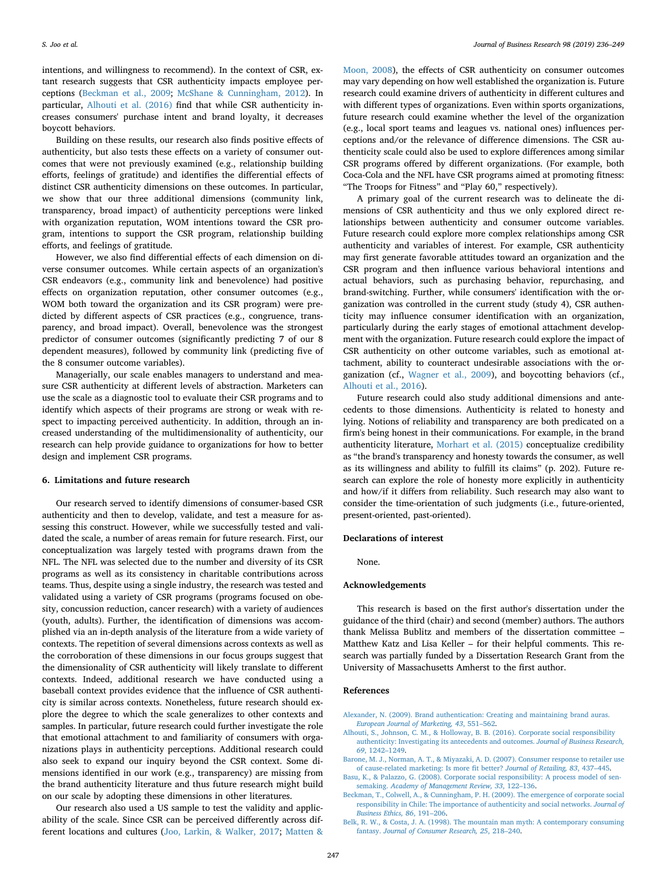intentions, and willingness to recommend). In the context of CSR, extant research suggests that CSR authenticity impacts employee perceptions ([Beckman et al., 2009](#page-11-2); [McShane & Cunningham, 2012\)](#page-12-23). In particular, [Alhouti et al. \(2016\)](#page-11-1) find that while CSR authenticity increases consumers' purchase intent and brand loyalty, it decreases boycott behaviors.

Building on these results, our research also finds positive effects of authenticity, but also tests these effects on a variety of consumer outcomes that were not previously examined (e.g., relationship building efforts, feelings of gratitude) and identifies the differential effects of distinct CSR authenticity dimensions on these outcomes. In particular, we show that our three additional dimensions (community link, transparency, broad impact) of authenticity perceptions were linked with organization reputation, WOM intentions toward the CSR program, intentions to support the CSR program, relationship building efforts, and feelings of gratitude.

However, we also find differential effects of each dimension on diverse consumer outcomes. While certain aspects of an organization's CSR endeavors (e.g., community link and benevolence) had positive effects on organization reputation, other consumer outcomes (e.g., WOM both toward the organization and its CSR program) were predicted by different aspects of CSR practices (e.g., congruence, transparency, and broad impact). Overall, benevolence was the strongest predictor of consumer outcomes (significantly predicting 7 of our 8 dependent measures), followed by community link (predicting five of the 8 consumer outcome variables).

Managerially, our scale enables managers to understand and measure CSR authenticity at different levels of abstraction. Marketers can use the scale as a diagnostic tool to evaluate their CSR programs and to identify which aspects of their programs are strong or weak with respect to impacting perceived authenticity. In addition, through an increased understanding of the multidimensionality of authenticity, our research can help provide guidance to organizations for how to better design and implement CSR programs.

## **6. Limitations and future research**

Our research served to identify dimensions of consumer-based CSR authenticity and then to develop, validate, and test a measure for assessing this construct. However, while we successfully tested and validated the scale, a number of areas remain for future research. First, our conceptualization was largely tested with programs drawn from the NFL. The NFL was selected due to the number and diversity of its CSR programs as well as its consistency in charitable contributions across teams. Thus, despite using a single industry, the research was tested and validated using a variety of CSR programs (programs focused on obesity, concussion reduction, cancer research) with a variety of audiences (youth, adults). Further, the identification of dimensions was accomplished via an in-depth analysis of the literature from a wide variety of contexts. The repetition of several dimensions across contexts as well as the corroboration of these dimensions in our focus groups suggest that the dimensionality of CSR authenticity will likely translate to different contexts. Indeed, additional research we have conducted using a baseball context provides evidence that the influence of CSR authenticity is similar across contexts. Nonetheless, future research should explore the degree to which the scale generalizes to other contexts and samples. In particular, future research could further investigate the role that emotional attachment to and familiarity of consumers with organizations plays in authenticity perceptions. Additional research could also seek to expand our inquiry beyond the CSR context. Some dimensions identified in our work (e.g., transparency) are missing from the brand authenticity literature and thus future research might build on our scale by adopting these dimensions in other literatures.

Our research also used a US sample to test the validity and applicability of the scale. Since CSR can be perceived differently across different locations and cultures ([Joo, Larkin, & Walker, 2017;](#page-12-63) [Matten &](#page-12-64)

[Moon, 2008](#page-12-64)), the effects of CSR authenticity on consumer outcomes may vary depending on how well established the organization is. Future research could examine drivers of authenticity in different cultures and with different types of organizations. Even within sports organizations, future research could examine whether the level of the organization (e.g., local sport teams and leagues vs. national ones) influences perceptions and/or the relevance of difference dimensions. The CSR authenticity scale could also be used to explore differences among similar CSR programs offered by different organizations. (For example, both Coca-Cola and the NFL have CSR programs aimed at promoting fitness: "The Troops for Fitness" and "Play 60," respectively).

A primary goal of the current research was to delineate the dimensions of CSR authenticity and thus we only explored direct relationships between authenticity and consumer outcome variables. Future research could explore more complex relationships among CSR authenticity and variables of interest. For example, CSR authenticity may first generate favorable attitudes toward an organization and the CSR program and then influence various behavioral intentions and actual behaviors, such as purchasing behavior, repurchasing, and brand-switching. Further, while consumers' identification with the organization was controlled in the current study (study 4), CSR authenticity may influence consumer identification with an organization, particularly during the early stages of emotional attachment development with the organization. Future research could explore the impact of CSR authenticity on other outcome variables, such as emotional attachment, ability to counteract undesirable associations with the organization (cf., [Wagner et al., 2009\)](#page-12-0), and boycotting behaviors (cf., [Alhouti et al., 2016](#page-11-1)).

Future research could also study additional dimensions and antecedents to those dimensions. Authenticity is related to honesty and lying. Notions of reliability and transparency are both predicated on a firm's being honest in their communications. For example, in the brand authenticity literature, [Morhart et al. \(2015\)](#page-12-6) conceptualize credibility as "the brand's transparency and honesty towards the consumer, as well as its willingness and ability to fulfill its claims" (p. 202). Future research can explore the role of honesty more explicitly in authenticity and how/if it differs from reliability. Such research may also want to consider the time-orientation of such judgments (i.e., future-oriented, present-oriented, past-oriented).

#### **Declarations of interest**

None.

## **Acknowledgements**

This research is based on the first author's dissertation under the guidance of the third (chair) and second (member) authors. The authors thank Melissa Bublitz and members of the dissertation committee – Matthew Katz and Lisa Keller – for their helpful comments. This research was partially funded by a Dissertation Research Grant from the University of Massachusetts Amherst to the first author.

## **References**

- <span id="page-11-0"></span>[Alexander, N. \(2009\). Brand authentication: Creating and maintaining brand auras.](http://refhub.elsevier.com/S0148-2963(19)30079-7/rf0005) *[European Journal of Marketing, 43](http://refhub.elsevier.com/S0148-2963(19)30079-7/rf0005)*, 551–562.
- <span id="page-11-1"></span>[Alhouti, S., Johnson, C. M., & Holloway, B. B. \(2016\). Corporate social responsibility](http://refhub.elsevier.com/S0148-2963(19)30079-7/rf0010) [authenticity: Investigating its antecedents and outcomes.](http://refhub.elsevier.com/S0148-2963(19)30079-7/rf0010) *Journal of Business Research, 69*[, 1242–1249](http://refhub.elsevier.com/S0148-2963(19)30079-7/rf0010).
- <span id="page-11-5"></span>[Barone, M. J., Norman, A. T., & Miyazaki, A. D. \(2007\). Consumer response to retailer use](http://refhub.elsevier.com/S0148-2963(19)30079-7/rf0015) [of cause-related marketing: Is more fit better?](http://refhub.elsevier.com/S0148-2963(19)30079-7/rf0015) *Journal of Retailing, 83*, 437–445.
- <span id="page-11-4"></span>[Basu, K., & Palazzo, G. \(2008\). Corporate social responsibility: A process model of sen](http://refhub.elsevier.com/S0148-2963(19)30079-7/rf0020)semaking. *[Academy of Management Review, 33](http://refhub.elsevier.com/S0148-2963(19)30079-7/rf0020)*, 122–136.
- <span id="page-11-2"></span>[Beckman, T., Colwell, A., & Cunningham, P. H. \(2009\). The emergence of corporate social](http://refhub.elsevier.com/S0148-2963(19)30079-7/rf0025) [responsibility in Chile: The importance of authenticity and social networks.](http://refhub.elsevier.com/S0148-2963(19)30079-7/rf0025) *Journal of [Business Ethics, 86](http://refhub.elsevier.com/S0148-2963(19)30079-7/rf0025)*, 191–206.
- <span id="page-11-3"></span>[Belk, R. W., & Costa, J. A. \(1998\). The mountain man myth: A contemporary consuming](http://refhub.elsevier.com/S0148-2963(19)30079-7/rf0030) fantasy. *[Journal of Consumer Research, 25](http://refhub.elsevier.com/S0148-2963(19)30079-7/rf0030)*, 218–240.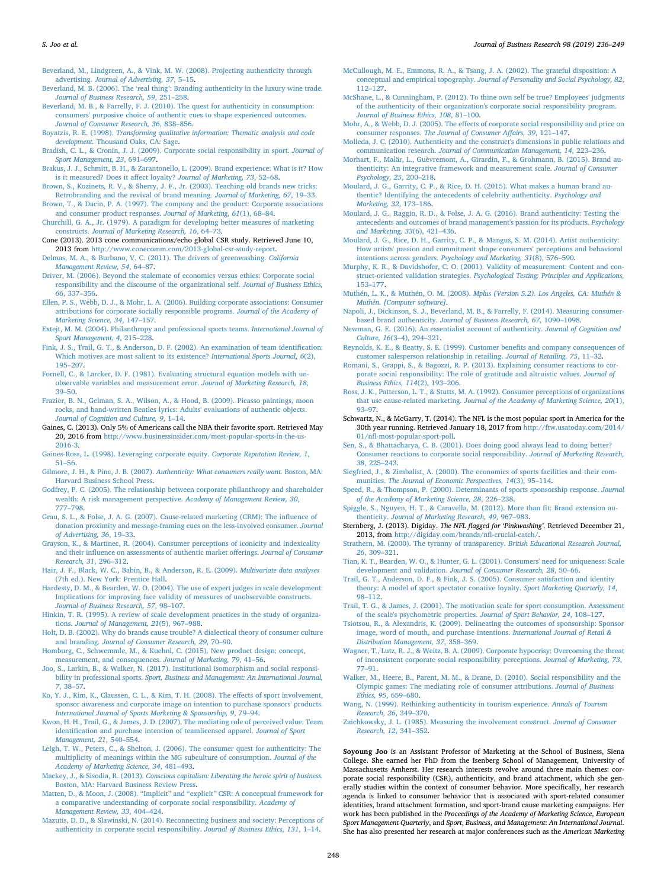<span id="page-12-28"></span>[Beverland, M., Lindgreen, A., & Vink, M. W. \(2008\). Projecting authenticity through](http://refhub.elsevier.com/S0148-2963(19)30079-7/rf0035) advertising. *[Journal of Advertising, 37](http://refhub.elsevier.com/S0148-2963(19)30079-7/rf0035)*, 5–15.

- <span id="page-12-16"></span>[Beverland, M. B. \(2006\). The 'real thing': Branding authenticity in the luxury wine trade.](http://refhub.elsevier.com/S0148-2963(19)30079-7/rf0040) *[Journal of Business Research, 59](http://refhub.elsevier.com/S0148-2963(19)30079-7/rf0040)*, 251–258.
- <span id="page-12-17"></span>[Beverland, M. B., & Farrelly, F. J. \(2010\). The quest for authenticity in consumption:](http://refhub.elsevier.com/S0148-2963(19)30079-7/rf0045) [consumers' purposive choice of authentic cues to shape experienced outcomes.](http://refhub.elsevier.com/S0148-2963(19)30079-7/rf0045) *[Journal of Consumer Research, 36](http://refhub.elsevier.com/S0148-2963(19)30079-7/rf0045)*, 838–856.
- <span id="page-12-37"></span>Boyatzis, R. E. (1998). *[Transforming qualitative information: Thematic analysis and code](http://refhub.elsevier.com/S0148-2963(19)30079-7/rf0050) development.* [Thousand Oaks, CA: Sage](http://refhub.elsevier.com/S0148-2963(19)30079-7/rf0050).
- <span id="page-12-34"></span>[Bradish, C. L., & Cronin, J. J. \(2009\). Corporate social responsibility in sport.](http://refhub.elsevier.com/S0148-2963(19)30079-7/rf0055) *Journal of [Sport Management, 23](http://refhub.elsevier.com/S0148-2963(19)30079-7/rf0055)*, 691–697.
- <span id="page-12-26"></span>[Brakus, J. J., Schmitt, B. H., & Zarantonello, L. \(2009\). Brand experience: What is it? How](http://refhub.elsevier.com/S0148-2963(19)30079-7/rf0060) [is it measured? Does it affect loyalty?](http://refhub.elsevier.com/S0148-2963(19)30079-7/rf0060) *Journal of Marketing, 73*, 52–68.
- <span id="page-12-4"></span>[Brown, S., Kozinets, R. V., & Sherry, J. F., Jr. \(2003\). Teaching old brands new tricks:](http://refhub.elsevier.com/S0148-2963(19)30079-7/rf0065) [Retrobranding and the revival of brand meaning.](http://refhub.elsevier.com/S0148-2963(19)30079-7/rf0065) *Journal of Marketing, 67*, 19–33.
- <span id="page-12-9"></span>[Brown, T., & Dacin, P. A. \(1997\). The company and the product: Corporate associations](http://refhub.elsevier.com/S0148-2963(19)30079-7/rf0070) [and consumer product responses.](http://refhub.elsevier.com/S0148-2963(19)30079-7/rf0070) *Journal of Marketing, 61*(1), 68–84.
- <span id="page-12-27"></span>[Churchill, G. A., Jr. \(1979\). A paradigm for developing better measures of marketing](http://refhub.elsevier.com/S0148-2963(19)30079-7/rf0075) constructs. *[Journal of Marketing Research, 16](http://refhub.elsevier.com/S0148-2963(19)30079-7/rf0075)*, 64–73.
- <span id="page-12-10"></span>Cone (2013). 2013 cone communications/echo global CSR study. Retrieved June 10, 2013 from [http://www.conecomm.com/2013-global-csr-study-report.](http://www.conecomm.com/2013-global-csr-study-report)
- <span id="page-12-1"></span>[Delmas, M. A., & Burbano, V. C. \(2011\). The drivers of greenwashing.](http://refhub.elsevier.com/S0148-2963(19)30079-7/rf0085) *California [Management Review, 54](http://refhub.elsevier.com/S0148-2963(19)30079-7/rf0085)*, 64–87.
- <span id="page-12-25"></span>[Driver, M. \(2006\). Beyond the stalemate of economics versus ethics: Corporate social](http://refhub.elsevier.com/S0148-2963(19)30079-7/rf0090) [responsibility and the discourse of the organizational self.](http://refhub.elsevier.com/S0148-2963(19)30079-7/rf0090) *Journal of Business Ethics, 66*[, 337–356](http://refhub.elsevier.com/S0148-2963(19)30079-7/rf0090).
- <span id="page-12-12"></span>[Ellen, P. S., Webb, D. J., & Mohr, L. A. \(2006\). Building corporate associations: Consumer](http://refhub.elsevier.com/S0148-2963(19)30079-7/rf0095) [attributions for corporate socially responsible programs.](http://refhub.elsevier.com/S0148-2963(19)30079-7/rf0095) *Journal of the Academy of [Marketing Science, 34](http://refhub.elsevier.com/S0148-2963(19)30079-7/rf0095)*, 147–157.
- <span id="page-12-36"></span>[Extejt, M. M. \(2004\). Philanthropy and professional sports teams.](http://refhub.elsevier.com/S0148-2963(19)30079-7/rf0100) *International Journal of [Sport Management, 4](http://refhub.elsevier.com/S0148-2963(19)30079-7/rf0100)*, 215–228.
- <span id="page-12-51"></span>[Fink, J. S., Trail, G. T., & Anderson, D. F. \(2002\). An examination of team identification:](http://refhub.elsevier.com/S0148-2963(19)30079-7/rf0105) [Which motives are most salient to its existence?](http://refhub.elsevier.com/S0148-2963(19)30079-7/rf0105) *International Sports Journal, 6*(2), [195–207](http://refhub.elsevier.com/S0148-2963(19)30079-7/rf0105).
- <span id="page-12-46"></span>[Fornell, C., & Larcker, D. F. \(1981\). Evaluating structural equation models with un](http://refhub.elsevier.com/S0148-2963(19)30079-7/rf0110)[observable variables and measurement error.](http://refhub.elsevier.com/S0148-2963(19)30079-7/rf0110) *Journal of Marketing Research, 18*, [39–50](http://refhub.elsevier.com/S0148-2963(19)30079-7/rf0110).
- <span id="page-12-19"></span>[Frazier, B. N., Gelman, S. A., Wilson, A., & Hood, B. \(2009\). Picasso paintings, moon](http://refhub.elsevier.com/S0148-2963(19)30079-7/rf0115) [rocks, and hand-written Beatles lyrics: Adults' evaluations of authentic objects.](http://refhub.elsevier.com/S0148-2963(19)30079-7/rf0115) *[Journal of Cognition and Culture, 9](http://refhub.elsevier.com/S0148-2963(19)30079-7/rf0115)*, 1–14.
- <span id="page-12-2"></span>Gaines, C. (2013). Only 5% of Americans call the NBA their favorite sport. Retrieved May 20, 2016 from [http://www.businessinsider.com/most-popular-sports-in-the-us-](http://www.businessinsider.com/most-popular-sports-in-the-us-2016-3)[2016-3.](http://www.businessinsider.com/most-popular-sports-in-the-us-2016-3)
- <span id="page-12-56"></span>[Gaines-Ross, L. \(1998\). Leveraging corporate equity.](http://refhub.elsevier.com/S0148-2963(19)30079-7/rf0125) *Corporate Reputation Review, 1*, [51–56](http://refhub.elsevier.com/S0148-2963(19)30079-7/rf0125).
- <span id="page-12-5"></span>Gilmore, J. H., & Pine, J. B. (2007). *[Authenticity: What consumers really want.](http://refhub.elsevier.com/S0148-2963(19)30079-7/rf0130)* Boston, MA: [Harvard Business School Press](http://refhub.elsevier.com/S0148-2963(19)30079-7/rf0130).
- <span id="page-12-21"></span>[Godfrey, P. C. \(2005\). The relationship between corporate philanthropy and shareholder](http://refhub.elsevier.com/S0148-2963(19)30079-7/rf0135) [wealth: A risk management perspective.](http://refhub.elsevier.com/S0148-2963(19)30079-7/rf0135) *Academy of Management Review, 30*, [777–798](http://refhub.elsevier.com/S0148-2963(19)30079-7/rf0135).
- <span id="page-12-60"></span>[Grau, S. L., & Folse, J. A. G. \(2007\). Cause-related marketing \(CRM\): The influence of](http://refhub.elsevier.com/S0148-2963(19)30079-7/rf0140) [donation proximity and message-framing cues on the less-involved consumer.](http://refhub.elsevier.com/S0148-2963(19)30079-7/rf0140) *Journal [of Advertising, 36](http://refhub.elsevier.com/S0148-2963(19)30079-7/rf0140)*, 19–33.
- <span id="page-12-14"></span>[Grayson, K., & Martinec, R. \(2004\). Consumer perceptions of iconicity and indexicality](http://refhub.elsevier.com/S0148-2963(19)30079-7/rf0145) [and their influence on assessments of authentic market offerings.](http://refhub.elsevier.com/S0148-2963(19)30079-7/rf0145) *Journal of Consumer [Research, 31](http://refhub.elsevier.com/S0148-2963(19)30079-7/rf0145)*, 296–312.
- <span id="page-12-47"></span>[Hair, J. F., Black, W. C., Babin, B., & Anderson, R. E. \(2009\).](http://refhub.elsevier.com/S0148-2963(19)30079-7/rf0150) *Multivariate data analyses* [\(7th ed.\). New York: Prentice Hall](http://refhub.elsevier.com/S0148-2963(19)30079-7/rf0150).
- <span id="page-12-42"></span>[Hardesty, D. M., & Bearden, W. O. \(2004\). The use of expert judges in scale development:](http://refhub.elsevier.com/S0148-2963(19)30079-7/rf0155) [Implications for improving face validity of measures of unobservable constructs.](http://refhub.elsevier.com/S0148-2963(19)30079-7/rf0155) *[Journal of Business Research, 57](http://refhub.elsevier.com/S0148-2963(19)30079-7/rf0155)*, 98–107.
- <span id="page-12-39"></span>[Hinkin, T. R. \(1995\). A review of scale development practices in the study of organiza](http://refhub.elsevier.com/S0148-2963(19)30079-7/rf0160)tions. *[Journal of Management, 21](http://refhub.elsevier.com/S0148-2963(19)30079-7/rf0160)*(5), 967–988.
- <span id="page-12-29"></span>[Holt, D. B. \(2002\). Why do brands cause trouble? A dialectical theory of consumer culture](http://refhub.elsevier.com/S0148-2963(19)30079-7/rf0165) and branding. *[Journal of Consumer Research, 29](http://refhub.elsevier.com/S0148-2963(19)30079-7/rf0165)*, 70–90.
- <span id="page-12-48"></span>[Homburg, C., Schwemmle, M., & Kuehnl, C. \(2015\). New product design: concept,](http://refhub.elsevier.com/S0148-2963(19)30079-7/rf0170) [measurement, and consequences.](http://refhub.elsevier.com/S0148-2963(19)30079-7/rf0170) *Journal of Marketing, 79*, 41–56.
- <span id="page-12-63"></span>[Joo, S., Larkin, B., & Walker, N. \(2017\). Institutional isomorphism and social responsi](http://refhub.elsevier.com/S0148-2963(19)30079-7/rf0175)bility in professional sports. *[Sport, Business and Management: An International Journal,](http://refhub.elsevier.com/S0148-2963(19)30079-7/rf0175) 7*[, 38–57.](http://refhub.elsevier.com/S0148-2963(19)30079-7/rf0175)
- <span id="page-12-52"></span>[Ko, Y. J., Kim, K., Claussen, C. L., & Kim, T. H. \(2008\). The effects of sport involvement,](http://refhub.elsevier.com/S0148-2963(19)30079-7/rf0180) [sponsor awareness and corporate image on intention to purchase sponsors' products.](http://refhub.elsevier.com/S0148-2963(19)30079-7/rf0180) *[International Journal of Sports Marketing & Sponsorship, 9](http://refhub.elsevier.com/S0148-2963(19)30079-7/rf0180)*, 79–94.
- <span id="page-12-57"></span>[Kwon, H. H., Trail, G., & James, J. D. \(2007\). The mediating role of perceived value: Team](http://refhub.elsevier.com/S0148-2963(19)30079-7/rf0185) [identification and purchase intention of teamlicensed apparel.](http://refhub.elsevier.com/S0148-2963(19)30079-7/rf0185) *Journal of Sport [Management, 21](http://refhub.elsevier.com/S0148-2963(19)30079-7/rf0185)*, 540–554.
- <span id="page-12-22"></span>[Leigh, T. W., Peters, C., & Shelton, J. \(2006\). The consumer quest for authenticity: The](http://refhub.elsevier.com/S0148-2963(19)30079-7/rf0190) [multiplicity of meanings within the MG subculture of consumption.](http://refhub.elsevier.com/S0148-2963(19)30079-7/rf0190) *Journal of the [Academy of Marketing Science, 34](http://refhub.elsevier.com/S0148-2963(19)30079-7/rf0190)*, 481–493.
- <span id="page-12-11"></span>Mackey, J., & Sisodia, R. (2013). *[Conscious capitalism: Liberating the heroic spirit of business.](http://refhub.elsevier.com/S0148-2963(19)30079-7/rf0195)* [Boston, MA: Harvard Business Review Press.](http://refhub.elsevier.com/S0148-2963(19)30079-7/rf0195)
- <span id="page-12-64"></span>[Matten, D., & Moon, J. \(2008\). "Implicit" and "explicit" CSR: A conceptual framework for](http://refhub.elsevier.com/S0148-2963(19)30079-7/rf0200) [a comparative understanding of corporate social responsibility.](http://refhub.elsevier.com/S0148-2963(19)30079-7/rf0200) *Academy of [Management Review, 33](http://refhub.elsevier.com/S0148-2963(19)30079-7/rf0200)*, 404–424.
- <span id="page-12-13"></span>[Mazutis, D. D., & Slawinski, N. \(2014\). Reconnecting business and society: Perceptions of](http://refhub.elsevier.com/S0148-2963(19)30079-7/rf0205) [authenticity in corporate social responsibility.](http://refhub.elsevier.com/S0148-2963(19)30079-7/rf0205) *Journal of Business Ethics, 131*, 1–14.
- <span id="page-12-61"></span>[McCullough, M. E., Emmons, R. A., & Tsang, J. A. \(2002\). The grateful disposition: A](http://refhub.elsevier.com/S0148-2963(19)30079-7/rf0210) conceptual and empirical topography. *[Journal of Personality and Social Psychology, 82](http://refhub.elsevier.com/S0148-2963(19)30079-7/rf0210)*, [112–127](http://refhub.elsevier.com/S0148-2963(19)30079-7/rf0210).
- <span id="page-12-23"></span>[McShane, L., & Cunningham, P. \(2012\). To thine own self be true? Employees' judgments](http://refhub.elsevier.com/S0148-2963(19)30079-7/rf0215) [of the authenticity of their organization's corporate social responsibility program.](http://refhub.elsevier.com/S0148-2963(19)30079-7/rf0215) *[Journal of Business Ethics, 108](http://refhub.elsevier.com/S0148-2963(19)30079-7/rf0215)*, 81–100.
- <span id="page-12-49"></span>[Mohr, A., & Webb, D. J. \(2005\). The effects of corporate social responsibility and price on](http://refhub.elsevier.com/S0148-2963(19)30079-7/rf0220) consumer responses. *[The Journal of Consumer Affairs, 39](http://refhub.elsevier.com/S0148-2963(19)30079-7/rf0220)*, 121–147.
- <span id="page-12-20"></span>[Molleda, J. C. \(2010\). Authenticity and the construct's dimensions in public relations and](http://refhub.elsevier.com/S0148-2963(19)30079-7/rf0225) communication research. *[Journal of Communication Management, 14](http://refhub.elsevier.com/S0148-2963(19)30079-7/rf0225)*, 223–236.
- <span id="page-12-6"></span>[Morhart, F., Malär, L., Guèvremont, A., Girardin, F., & Grohmann, B. \(2015\). Brand au](http://refhub.elsevier.com/S0148-2963(19)30079-7/rf0230)[thenticity: An integrative framework and measurement scale.](http://refhub.elsevier.com/S0148-2963(19)30079-7/rf0230) *Journal of Consumer [Psychology, 25](http://refhub.elsevier.com/S0148-2963(19)30079-7/rf0230)*, 200–218.
- <span id="page-12-15"></span>[Moulard, J. G., Garrity, C. P., & Rice, D. H. \(2015\). What makes a human brand au](http://refhub.elsevier.com/S0148-2963(19)30079-7/rf0235)[thentic? Identifying the antecedents of celebrity authenticity.](http://refhub.elsevier.com/S0148-2963(19)30079-7/rf0235) *Psychology and [Marketing, 32](http://refhub.elsevier.com/S0148-2963(19)30079-7/rf0235)*, 173–186.
- <span id="page-12-30"></span>[Moulard, J. G., Raggio, R. D., & Folse, J. A. G. \(2016\). Brand authenticity: Testing the](http://refhub.elsevier.com/S0148-2963(19)30079-7/rf0240) [antecedents and outcomes of brand management's passion for its products.](http://refhub.elsevier.com/S0148-2963(19)30079-7/rf0240) *Psychology [and Marketing, 33](http://refhub.elsevier.com/S0148-2963(19)30079-7/rf0240)*(6), 421–436.
- <span id="page-12-31"></span>[Moulard, J. G., Rice, D. H., Garrity, C. P., & Mangus, S. M. \(2014\). Artist authenticity:](http://refhub.elsevier.com/S0148-2963(19)30079-7/rf0245) [How artists' passion and commitment shape consumers' perceptions and behavioral](http://refhub.elsevier.com/S0148-2963(19)30079-7/rf0245) intentions across genders. *[Psychology and Marketing, 31](http://refhub.elsevier.com/S0148-2963(19)30079-7/rf0245)*(8), 576–590.
- <span id="page-12-44"></span>[Murphy, K. R., & Davidshofer, C. O. \(2001\). Validity of measurement: Content and con](http://refhub.elsevier.com/S0148-2963(19)30079-7/rf0250)struct-oriented validation strategies. *[Psychological Testing: Principles and Applications,](http://refhub.elsevier.com/S0148-2963(19)30079-7/rf0250)* [153–177](http://refhub.elsevier.com/S0148-2963(19)30079-7/rf0250).
- <span id="page-12-45"></span>Muthén, L. K., & Muthén, O. M. (2008). *[Mplus \(Version 5.2\). Los Angeles, CA: Muthén &](http://refhub.elsevier.com/S0148-2963(19)30079-7/rf0255) [Muthén. \[Computer software\]](http://refhub.elsevier.com/S0148-2963(19)30079-7/rf0255)*.
- <span id="page-12-7"></span>[Napoli, J., Dickinson, S. J., Beverland, M. B., & Farrelly, F. \(2014\). Measuring consumer](http://refhub.elsevier.com/S0148-2963(19)30079-7/rf0260)based brand authenticity. *[Journal of Business Research, 67](http://refhub.elsevier.com/S0148-2963(19)30079-7/rf0260)*, 1090–1098.
- <span id="page-12-24"></span>[Newman, G. E. \(2016\). An essentialist account of authenticity.](http://refhub.elsevier.com/S0148-2963(19)30079-7/rf0265) *Journal of Cognition and Culture, 16*[\(3–4\), 294–321.](http://refhub.elsevier.com/S0148-2963(19)30079-7/rf0265)
- <span id="page-12-62"></span>[Reynolds, K. E., & Beatty, S. E. \(1999\). Customer benefits and company consequences of](http://refhub.elsevier.com/S0148-2963(19)30079-7/rf0270) [customer salesperson relationship in retailing.](http://refhub.elsevier.com/S0148-2963(19)30079-7/rf0270) *Journal of Retailing, 75*, 11–32.
- <span id="page-12-50"></span>[Romani, S., Grappi, S., & Bagozzi, R. P. \(2013\). Explaining consumer reactions to cor](http://refhub.elsevier.com/S0148-2963(19)30079-7/rf0275)[porate social responsibility: The role of gratitude and altruistic values.](http://refhub.elsevier.com/S0148-2963(19)30079-7/rf0275) *Journal of [Business Ethics, 114](http://refhub.elsevier.com/S0148-2963(19)30079-7/rf0275)*(2), 193–206.
- <span id="page-12-53"></span>[Ross, J. K., Patterson, L. T., & Stutts, M. A. \(1992\). Consumer perceptions of organizations](http://refhub.elsevier.com/S0148-2963(19)30079-7/rf0280) that use cause-related marketing. *[Journal of the Academy of Marketing Science, 20](http://refhub.elsevier.com/S0148-2963(19)30079-7/rf0280)*(1), [93–97](http://refhub.elsevier.com/S0148-2963(19)30079-7/rf0280).
- <span id="page-12-35"></span>Schwartz, N., & McGarry, T. (2014). The NFL is the most popular sport in America for the 30th year running. Retrieved January 18, 2017 from [http://ftw.usatoday.com/2014/](http://ftw.usatoday.com/2014/01/nfl-most-popular-sport-poll) [01/nfl-most-popular-sport-poll](http://ftw.usatoday.com/2014/01/nfl-most-popular-sport-poll).
- <span id="page-12-32"></span>[Sen, S., & Bhattacharya, C. B. \(2001\). Does doing good always lead to doing better?](http://refhub.elsevier.com/S0148-2963(19)30079-7/rf0290) [Consumer reactions to corporate social responsibility.](http://refhub.elsevier.com/S0148-2963(19)30079-7/rf0290) *Journal of Marketing Research, 38*[, 225–243](http://refhub.elsevier.com/S0148-2963(19)30079-7/rf0290).
- <span id="page-12-33"></span>[Siegfried, J., & Zimbalist, A. \(2000\). The economics of sports facilities and their com](http://refhub.elsevier.com/S0148-2963(19)30079-7/rf0295)munities. *[The Journal of Economic Perspectives, 14](http://refhub.elsevier.com/S0148-2963(19)30079-7/rf0295)*(3), 95–114.
- <span id="page-12-40"></span>[Speed, R., & Thompson, P. \(2000\). Determinants of sports sponsorship response.](http://refhub.elsevier.com/S0148-2963(19)30079-7/rf0300) *Journal [of the Academy of Marketing Science, 28](http://refhub.elsevier.com/S0148-2963(19)30079-7/rf0300)*, 226–238.
- <span id="page-12-8"></span>[Spiggle, S., Nguyen, H. T., & Caravella, M. \(2012\). More than fit: Brand extension au](http://refhub.elsevier.com/S0148-2963(19)30079-7/rf0305)thenticity. *[Journal of Marketing Research, 49](http://refhub.elsevier.com/S0148-2963(19)30079-7/rf0305)*, 967–983.
- <span id="page-12-3"></span>Sternberg, J. (2013). Digiday. *The NFL flagged for 'Pinkwashing'*. Retrieved December 21, 2013, from [http://digiday.com/brands/nfl-crucial-catch/.](http://digiday.com/brands/nfl-crucial-catch/)
- <span id="page-12-38"></span>[Strathern, M. \(2000\). The tyranny of transparency.](http://refhub.elsevier.com/S0148-2963(19)30079-7/rf0315) *British Educational Research Journal, 26*[, 309–321](http://refhub.elsevier.com/S0148-2963(19)30079-7/rf0315).
- <span id="page-12-41"></span>[Tian, K. T., Bearden, W. O., & Hunter, G. L. \(2001\). Consumers' need for uniqueness: Scale](http://refhub.elsevier.com/S0148-2963(19)30079-7/rf0320) development and validation. *[Journal of Consumer Research, 28](http://refhub.elsevier.com/S0148-2963(19)30079-7/rf0320)*, 50–66.
- <span id="page-12-58"></span>[Trail, G. T., Anderson, D. F., & Fink, J. S. \(2005\). Consumer satisfaction and identity](http://refhub.elsevier.com/S0148-2963(19)30079-7/rf0325) [theory: A model of sport spectator conative loyalty.](http://refhub.elsevier.com/S0148-2963(19)30079-7/rf0325) *Sport Marketing Quarterly, 14*, [98–112.](http://refhub.elsevier.com/S0148-2963(19)30079-7/rf0325)
- <span id="page-12-54"></span>[Trail, T. G., & James, J. \(2001\). The motivation scale for sport consumption. Assessment](http://refhub.elsevier.com/S0148-2963(19)30079-7/rf0330) [of the scale's psychometric properties.](http://refhub.elsevier.com/S0148-2963(19)30079-7/rf0330) *Journal of Sport Behavior, 24*, 108–127.
- <span id="page-12-55"></span>[Tsiotsou, R., & Alexandris, K. \(2009\). Delineating the outcomes of sponsorship: Sponsor](http://refhub.elsevier.com/S0148-2963(19)30079-7/rf0335) [image, word of mouth, and purchase intentions.](http://refhub.elsevier.com/S0148-2963(19)30079-7/rf0335) *International Journal of Retail & [Distribution Management, 37](http://refhub.elsevier.com/S0148-2963(19)30079-7/rf0335)*, 358–369.
- <span id="page-12-0"></span>[Wagner, T., Lutz, R. J., & Weitz, B. A. \(2009\). Corporate hypocrisy: Overcoming the threat](http://refhub.elsevier.com/S0148-2963(19)30079-7/rf0340) [of inconsistent corporate social responsibility perceptions.](http://refhub.elsevier.com/S0148-2963(19)30079-7/rf0340) *Journal of Marketing, 73*, [77–91](http://refhub.elsevier.com/S0148-2963(19)30079-7/rf0340).
- <span id="page-12-59"></span>[Walker, M., Heere, B., Parent, M. M., & Drane, D. \(2010\). Social responsibility and the](http://refhub.elsevier.com/S0148-2963(19)30079-7/rf0345) [Olympic games: The mediating role of consumer attributions.](http://refhub.elsevier.com/S0148-2963(19)30079-7/rf0345) *Journal of Business Ethics, 95*[, 659–680.](http://refhub.elsevier.com/S0148-2963(19)30079-7/rf0345)
- <span id="page-12-18"></span>[Wang, N. \(1999\). Rethinking authenticity in tourism experience.](http://refhub.elsevier.com/S0148-2963(19)30079-7/rf0350) *Annals of Tourism [Research, 26](http://refhub.elsevier.com/S0148-2963(19)30079-7/rf0350)*, 349–370.
- <span id="page-12-43"></span>[Zaichkowsky, J. L. \(1985\). Measuring the involvement construct.](http://refhub.elsevier.com/S0148-2963(19)30079-7/rf0355) *Journal of Consumer [Research, 12](http://refhub.elsevier.com/S0148-2963(19)30079-7/rf0355)*, 341–352.

**Soyoung Joo** is an Assistant Professor of Marketing at the School of Business, Siena College. She earned her PhD from the Isenberg School of Management, University of Massachusetts Amherst. Her research interests revolve around three main themes: corporate social responsibility (CSR), authenticity, and brand attachment, which she generally studies within the context of consumer behavior. More specifically, her research agenda is linked to consumer behavior that is associated with sport-related consumer identities, brand attachment formation, and sport-brand cause marketing campaigns. Her work has been published in the *Proceedings of the Academy of Marketing Science*, *European Sport Management Quarterly*, and *Sport*, *Business*, *and Management*: *An International Journal*. She has also presented her research at major conferences such as the *American Marketing*